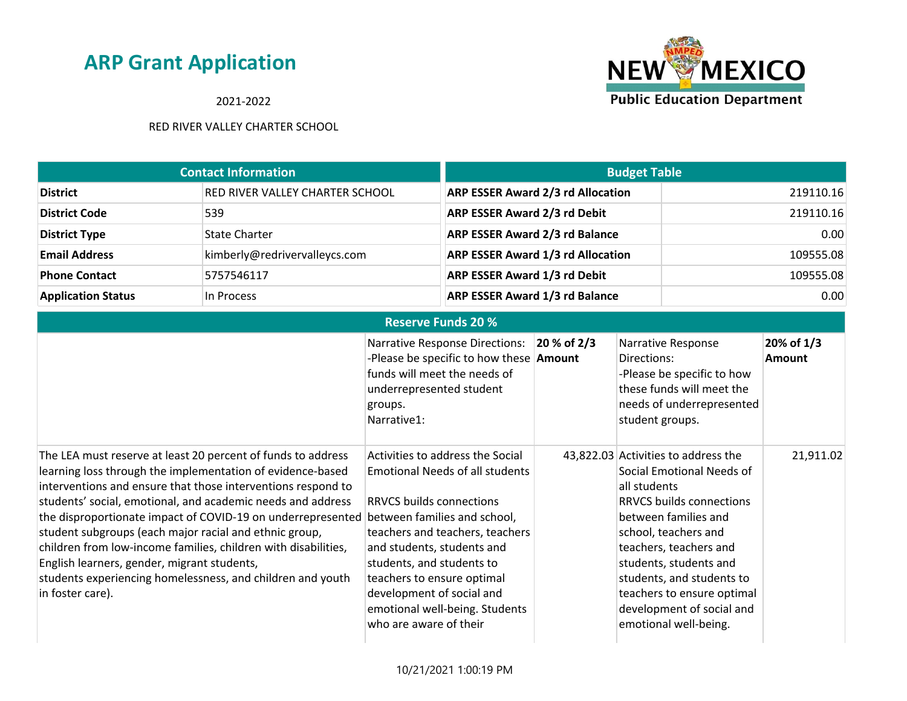2021-2022



|                           | <b>Contact Information</b>      | <b>Budget Table</b>                      |           |
|---------------------------|---------------------------------|------------------------------------------|-----------|
| <b>District</b>           | RED RIVER VALLEY CHARTER SCHOOL | <b>ARP ESSER Award 2/3 rd Allocation</b> | 219110.16 |
| <b>District Code</b>      | 539                             | <b>ARP ESSER Award 2/3 rd Debit</b>      | 219110.16 |
| <b>District Type</b>      | <b>State Charter</b>            | <b>ARP ESSER Award 2/3 rd Balance</b>    | 0.00      |
| <b>Email Address</b>      | kimberly@redrivervalleycs.com   | <b>ARP ESSER Award 1/3 rd Allocation</b> | 109555.08 |
| <b>Phone Contact</b>      | 5757546117                      | <b>ARP ESSER Award 1/3 rd Debit</b>      | 109555.08 |
| <b>Application Status</b> | In Process                      | <b>ARP ESSER Award 1/3 rd Balance</b>    | 0.00      |

| <b>Reserve Funds 20 %</b>                                                                                                                                                                                                                                                                                                                                                                                                                                                                                                                                                             |                                                                                                                                                                                                                                                                                                                                                                    |             |                                                                                                                                                                                                                                                                                                                                          |                             |
|---------------------------------------------------------------------------------------------------------------------------------------------------------------------------------------------------------------------------------------------------------------------------------------------------------------------------------------------------------------------------------------------------------------------------------------------------------------------------------------------------------------------------------------------------------------------------------------|--------------------------------------------------------------------------------------------------------------------------------------------------------------------------------------------------------------------------------------------------------------------------------------------------------------------------------------------------------------------|-------------|------------------------------------------------------------------------------------------------------------------------------------------------------------------------------------------------------------------------------------------------------------------------------------------------------------------------------------------|-----------------------------|
|                                                                                                                                                                                                                                                                                                                                                                                                                                                                                                                                                                                       | <b>Narrative Response Directions:</b><br>-Please be specific to how these <b>Amount</b><br>funds will meet the needs of<br>underrepresented student<br>groups.<br>Narrative1:                                                                                                                                                                                      | 20 % of 2/3 | Narrative Response<br>Directions:<br>-Please be specific to how<br>these funds will meet the<br>needs of underrepresented<br>student groups.                                                                                                                                                                                             | 20% of 1/3<br><b>Amount</b> |
| The LEA must reserve at least 20 percent of funds to address<br>learning loss through the implementation of evidence-based<br>interventions and ensure that those interventions respond to<br>students' social, emotional, and academic needs and address<br>the disproportionate impact of COVID-19 on underrepresented<br>student subgroups (each major racial and ethnic group,<br>children from low-income families, children with disabilities,<br>English learners, gender, migrant students,<br>students experiencing homelessness, and children and youth<br>in foster care). | Activities to address the Social<br><b>Emotional Needs of all students</b><br><b>RRVCS builds connections</b><br>between families and school,<br>teachers and teachers, teachers<br>and students, students and<br>students, and students to<br>teachers to ensure optimal<br>development of social and<br>emotional well-being. Students<br>who are aware of their |             | 43,822.03 Activities to address the<br>Social Emotional Needs of<br>all students<br><b>RRVCS builds connections</b><br>between families and<br>school, teachers and<br>teachers, teachers and<br>students, students and<br>students, and students to<br>teachers to ensure optimal<br>development of social and<br>emotional well-being. | 21,911.02                   |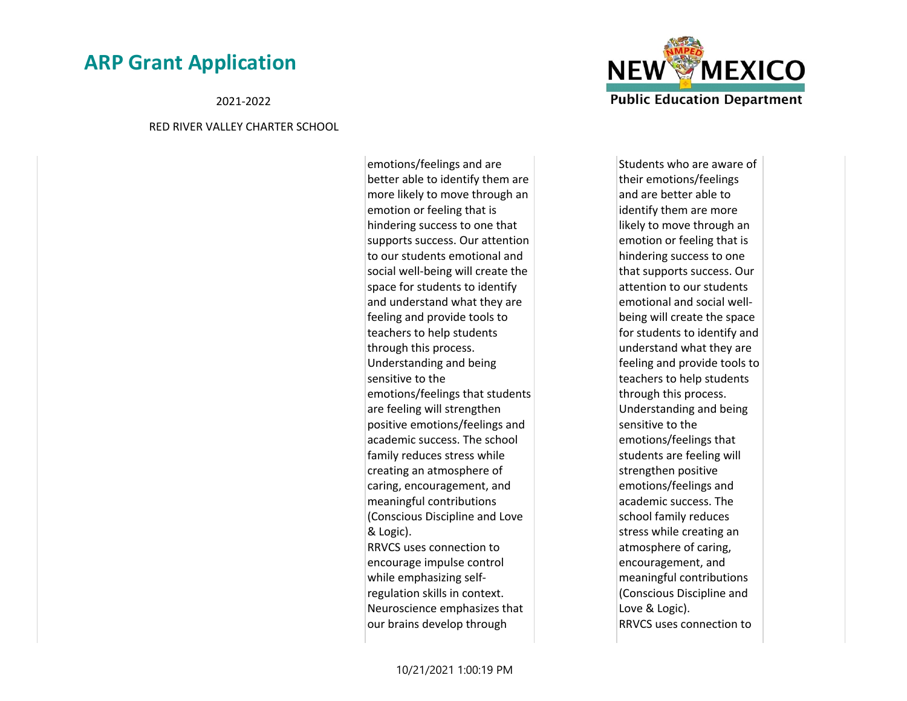2021-2022

#### RED RIVER VALLEY CHARTER SCHOOL

emotions/feelings and are better able to identify them are more likely to move through an emotion or feeling that is hindering success to one that supports success. Our attention to our students emotional and social well-being will create the space for students to identify and understand what they are feeling and provide tools to teachers to help students through this process. Understanding and being sensitive to the emotions/feelings that students are feeling will strengthen positive emotions/feelings and academic success. The school family reduces stress while creating an atmosphere of caring, encouragement, and meaningful contributions (Conscious Discipline and Love & Logic). RRVCS uses connection to encourage impulse control while emphasizing selfregulation skills in context. Neuroscience emphasizes that our brains develop through



Students who are aware of their emotions/feelings and are better able to identify them are more likely to move through an emotion or feeling that is hindering success to one that supports success. Our attention to our students emotional and social wellbeing will create the space for students to identify and understand what they are feeling and provide tools to teachers to help students through this process. Understanding and being sensitive to the emotions/feelings that students are feeling will strengthen positive emotions/feelings and academic success. The school family reduces stress while creating an atmosphere of caring, encouragement, and meaningful contributions (Conscious Discipline and Love & Logic). RRVCS uses connection to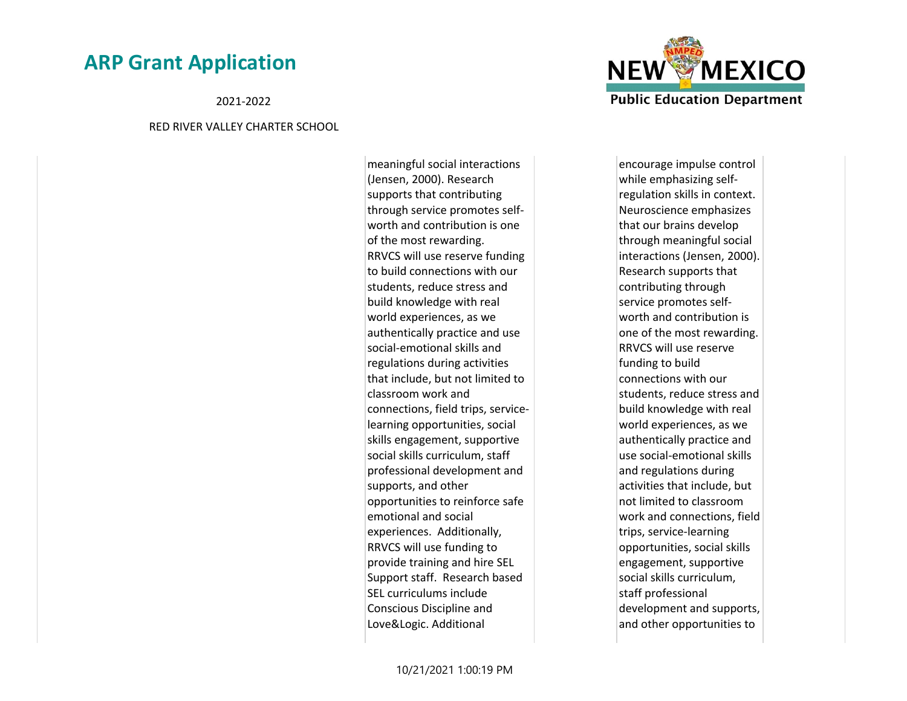2021-2022

#### RED RIVER VALLEY CHARTER SCHOOL

meaningful social interactions (Jensen, 2000). Research supports that contributing through service promotes selfworth and contribution is one of the most rewarding. RRVCS will use reserve funding to build connections with our students, reduce stress and build knowledge with real world experiences, as we authentically practice and use social-emotional skills and regulations during activities that include, but not limited to classroom work and connections, field trips, servicelearning opportunities, social skills engagement, supportive social skills curriculum, staff professional development and supports, and other opportunities to reinforce safe emotional and social experiences. Additionally, RRVCS will use funding to provide training and hire SEL Support staff. Research based SEL curriculums include Conscious Discipline and Love&Logic. Additional



encourage impulse control while emphasizing selfregulation skills in context. Neuroscience emphasizes that our brains develop through meaningful social interactions (Jensen, 2000). Research supports that contributing through service promotes selfworth and contribution is one of the most rewarding. RRVCS will use reserve funding to build connections with our students, reduce stress and build knowledge with real world experiences, as we authentically practice and use social-emotional skills and regulations during activities that include, but not limited to classroom work and connections, field trips, service-learning opportunities, social skills engagement, supportive social skills curriculum, staff professional development and supports, and other opportunities to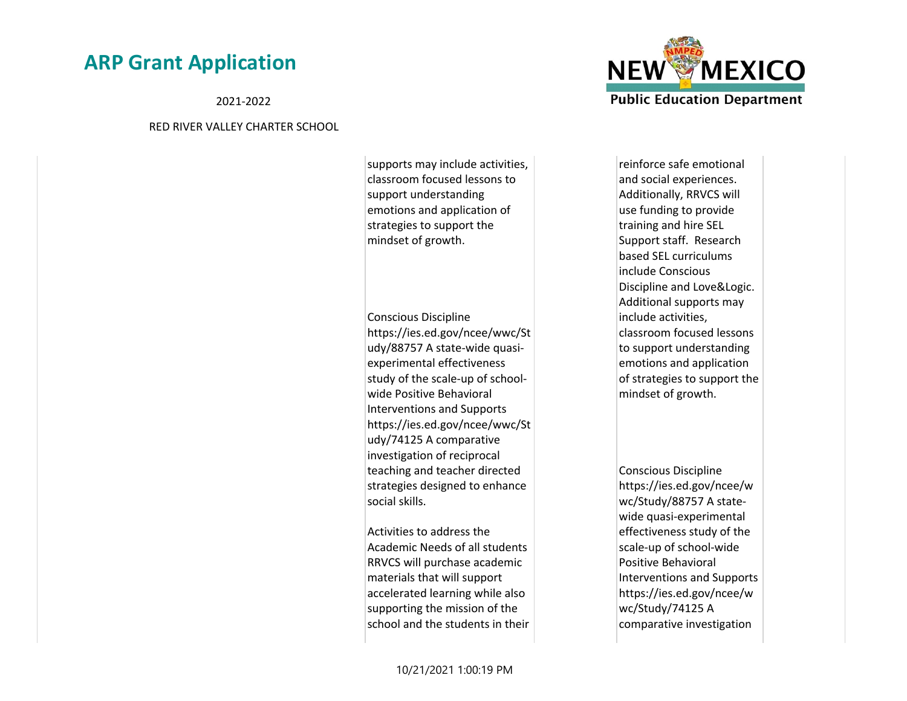2021-2022

#### RED RIVER VALLEY CHARTER SCHOOL

supports may include activities, classroom focused lessons to support understanding emotions and application of strategies to support the mindset of growth.

Conscious Discipline https://ies.ed.gov/ncee/wwc/St udy/88757 A state-wide quasiexperimental effectiveness study of the scale-up of schoolwide Positive Behavioral Interventions and Supports https://ies.ed.gov/ncee/wwc/St udy/74125 A comparative investigation of reciprocal teaching and teacher directed strategies designed to enhance social skills.

Activities to address the Academic Needs of all students RRVCS will purchase academic materials that will support accelerated learning while also supporting the mission of the school and the students in their



reinforce safe emotional and social experiences. Additionally, RRVCS will use funding to provide training and hire SEL Support staff. Research based SEL curriculums include Conscious Discipline and Love&Logic. Additional supports may include activities, classroom focused lessons to support understanding emotions and application of strategies to support the mindset of growth.

Conscious Discipline https://ies.ed.gov/ncee/w wc/Study/88757 A statewide quasi-experimental effectiveness study of the scale-up of school-wide Positive Behavioral Interventions and Supports https://ies.ed.gov/ncee/w wc/Study/74125 A comparative investigation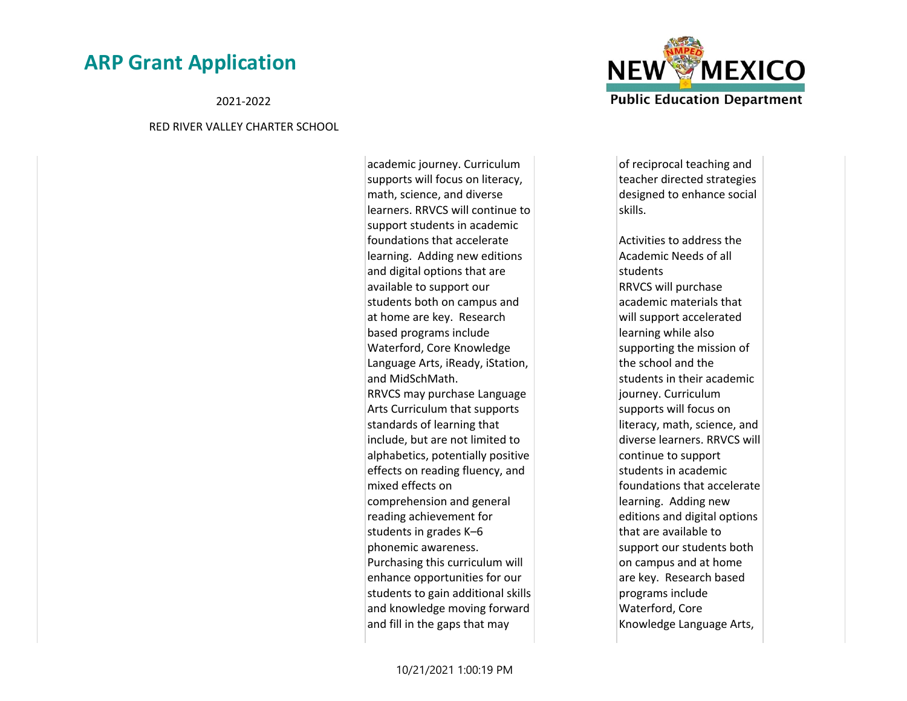2021-2022

#### RED RIVER VALLEY CHARTER SCHOOL

academic journey. Curriculum supports will focus on literacy, math, science, and diverse learners. RRVCS will continue to support students in academic foundations that accelerate learning. Adding new editions and digital options that are available to support our students both on campus and at home are key. Research based programs include Waterford, Core Knowledge Language Arts, iReady, iStation, and MidSchMath. RRVCS may purchase Language Arts Curriculum that supports standards of learning that include, but are not limited to alphabetics, potentially positive effects on reading fluency, and mixed effects on comprehension and general reading achievement for students in grades K–6 phonemic awareness. Purchasing this curriculum will enhance opportunities for our students to gain additional skills and knowledge moving forward and fill in the gaps that may



of reciprocal teaching and teacher directed strategies designed to enhance social skills.

Activities to address the Academic Needs of all students RRVCS will purchase academic materials that will support accelerated learning while also supporting the mission of the school and the students in their academic journey. Curriculum supports will focus on literacy, math, science, and diverse learners. RRVCS will continue to support students in academic foundations that accelerate learning. Adding new editions and digital options that are available to support our students both on campus and at home are key. Research based programs include Waterford, Core Knowledge Language Arts,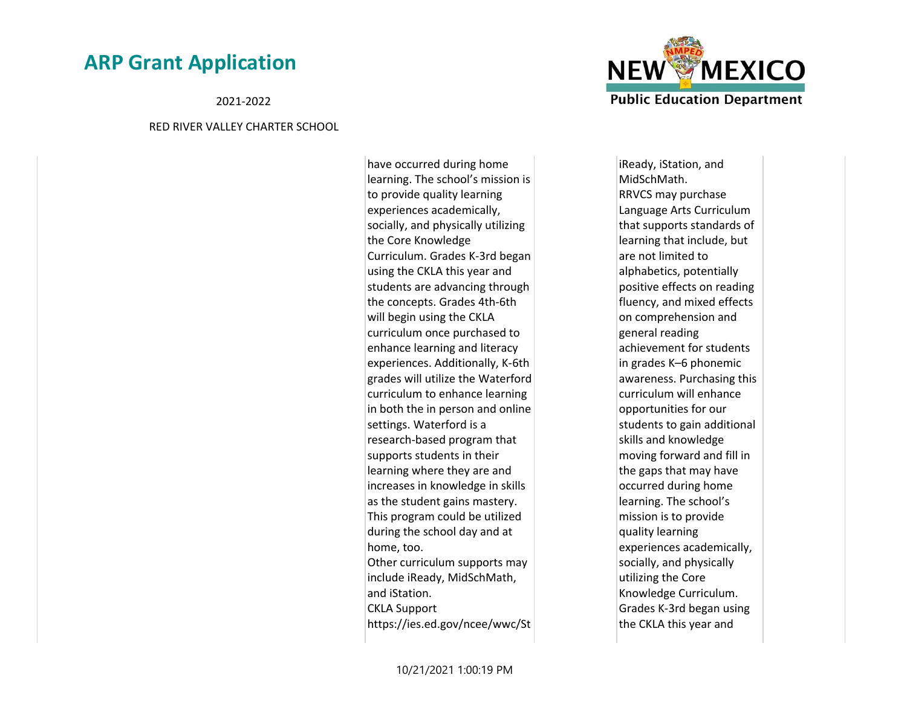2021-2022

#### RED RIVER VALLEY CHARTER SCHOOL

have occurred during home learning. The school's mission is to provide quality learning experiences academically, socially, and physically utilizing the Core Knowledge Curriculum. Grades K-3rd began using the CKLA this year and students are advancing through the concepts. Grades 4th-6th will begin using the CKLA curriculum once purchased to enhance learning and literacy experiences. Additionally, K-6th grades will utilize the Waterford curriculum to enhance learning in both the in person and online settings. Waterford is a research-based program that supports students in their learning where they are and increases in knowledge in skills as the student gains mastery. This program could be utilized during the school day and at home, too. Other curriculum supports may include iReady, MidSchMath, and iStation. CKLA Support https://ies.ed.gov/ncee/wwc/St



iReady, iStation, and MidSchMath. RRVCS may purchase Language Arts Curriculum that supports standards of learning that include, but are not limited to alphabetics, potentially positive effects on reading fluency, and mixed effects on comprehension and general reading achievement for students in grades K–6 phonemic awareness. Purchasing this curriculum will enhance opportunities for our students to gain additional skills and knowledge moving forward and fill in the gaps that may have occurred during home learning. The school's mission is to provide quality learning experiences academically, socially, and physically utilizing the Core Knowledge Curriculum. Grades K-3rd began using the CKLA this year and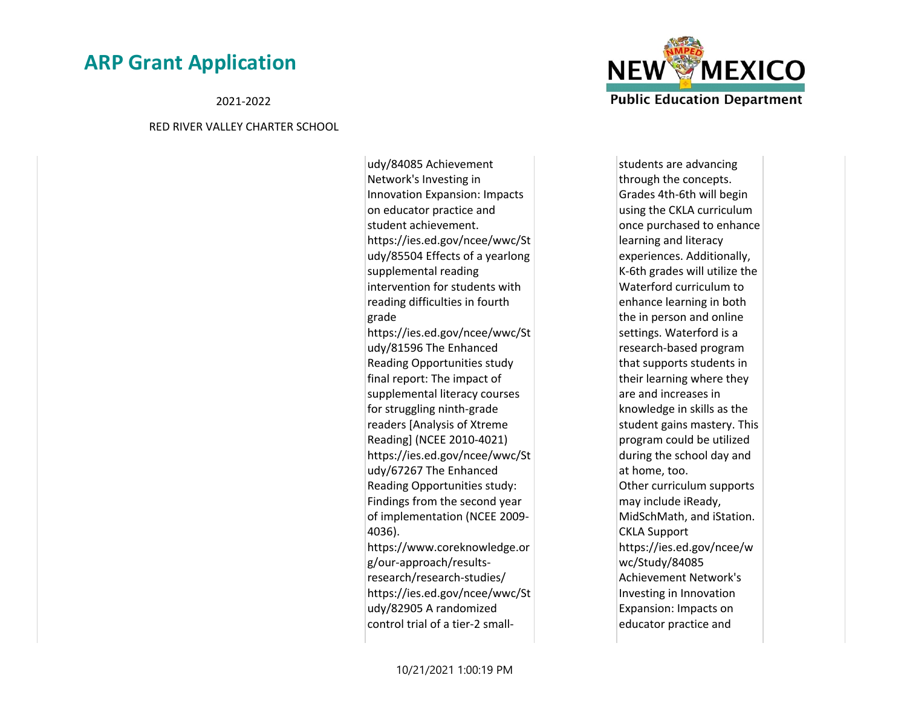2021-2022

#### RED RIVER VALLEY CHARTER SCHOOL

udy/84085 Achievement Network's Investing in Innovation Expansion: Impacts on educator practice and student achievement. https://ies.ed.gov/ncee/wwc/St udy/85504 Effects of a yearlong supplemental reading intervention for students with reading difficulties in fourth grade https://ies.ed.gov/ncee/wwc/St udy/81596 The Enhanced Reading Opportunities study final report: The impact of supplemental literacy courses for struggling ninth-grade readers [Analysis of Xtreme Reading] (NCEE 2010-4021) https://ies.ed.gov/ncee/wwc/St udy/67267 The Enhanced Reading Opportunities study: Findings from the second year of implementation (NCEE 2009- 4036). https://www.coreknowledge.or g/our-approach/resultsresearch/research-studies/ https://ies.ed.gov/ncee/wwc/St udy/82905 A randomized control trial of a tier-2 small-



students are advancing through the concepts. Grades 4th-6th will begin using the CKLA curriculum once purchased to enhance learning and literacy experiences. Additionally, K-6th grades will utilize the Waterford curriculum to enhance learning in both the in person and online settings. Waterford is a research-based program that supports students in their learning where they are and increases in knowledge in skills as the student gains mastery. This program could be utilized during the school day and at home, too. Other curriculum supports may include iReady, MidSchMath, and iStation. CKLA Support https://ies.ed.gov/ncee/w wc/Study/84085 Achievement Network's Investing in Innovation Expansion: Impacts on educator practice and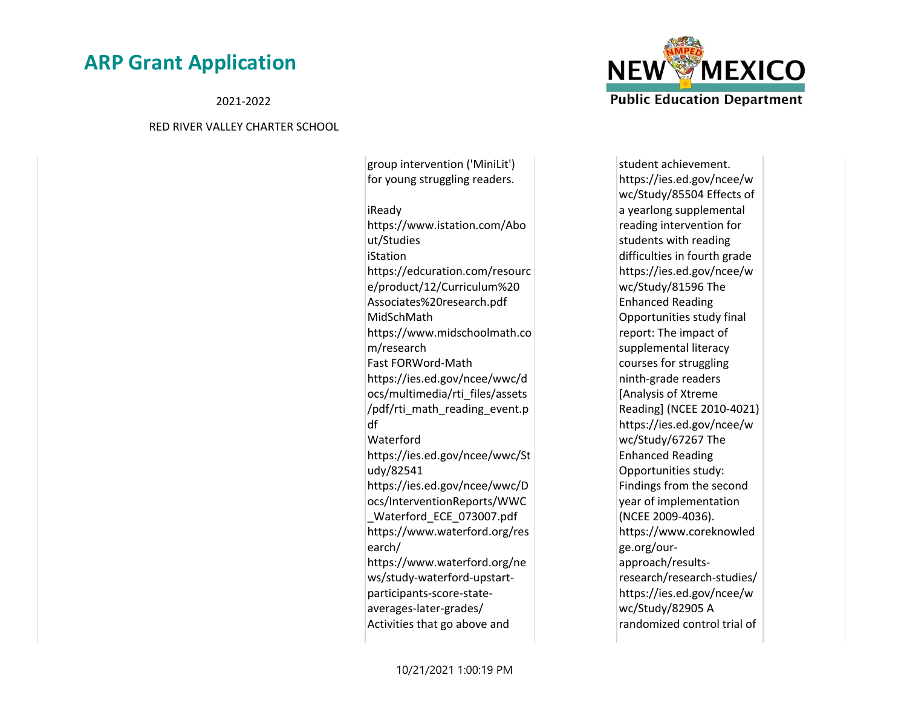2021-2022

#### RED RIVER VALLEY CHARTER SCHOOL

for young struggling readers. iReady https://www.istation.com/Abo ut/Studies iStation https://edcuration.com/resourc e/product/12/Curriculum%20 Associates%20research.pdf MidSchMath https://www.midschoolmath.co m/research Fast FORWord-Math https://ies.ed.gov/ncee/wwc/d ocs/multimedia/rti\_files/assets /pdf/rti\_math\_reading\_event.p df Waterford https://ies.ed.gov/ncee/wwc/St udy/82541 https://ies.ed.gov/ncee/wwc/D ocs/InterventionReports/WWC \_Waterford\_ECE\_073007.pdf https://www.waterford.org/res earch/ https://www.waterford.org/ne ws/study-waterford-upstartparticipants-score-stateaverages-later-grades/ Activities that go above and

group intervention ('MiniLit')



student achievement. https://ies.ed.gov/ncee/w wc/Study/85504 Effects of a yearlong supplemental reading intervention for students with reading difficulties in fourth grade https://ies.ed.gov/ncee/w wc/Study/81596 The Enhanced Reading Opportunities study final report: The impact of supplemental literacy courses for struggling ninth-grade readers [Analysis of Xtreme Reading] (NCEE 2010-4021) https://ies.ed.gov/ncee/w wc/Study/67267 The Enhanced Reading Opportunities study: Findings from the second year of implementation (NCEE 2009-4036). https://www.coreknowled ge.org/ourapproach/resultsresearch/research-studies/ https://ies.ed.gov/ncee/w wc/Study/82905 A randomized control trial of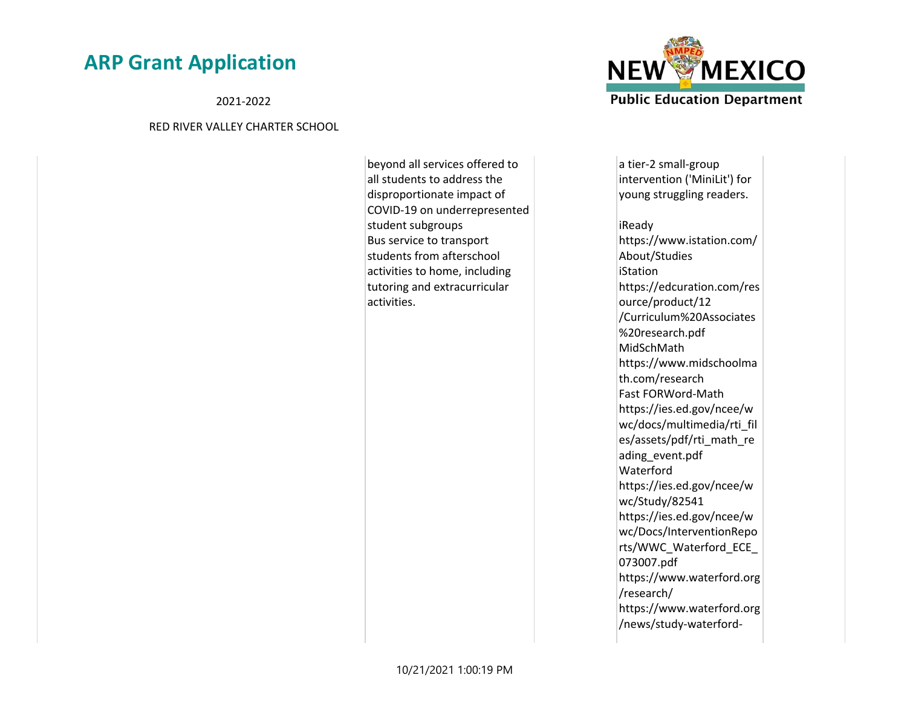2021-2022

#### RED RIVER VALLEY CHARTER SCHOOL

beyond all services offered to all students to address the disproportionate impact of COVID-19 on underrepresented student subgroups Bus service to transport students from afterschool activities to home, including tutoring and extracurricular activities.



a tier-2 small-group intervention ('MiniLit') for young struggling readers.

iReady https://www.istation.com/ About/Studies iStation https://edcuration.com/res ource/product/12 /Curriculum%20Associates %20research.pdf MidSchMath https://www.midschoolma th.com/research Fast FORWord-Math https://ies.ed.gov/ncee/w wc/docs/multimedia/rti\_fil es/assets/pdf/rti\_math\_re ading\_event.pdf Waterford https://ies.ed.gov/ncee/w wc/Study/82541 https://ies.ed.gov/ncee/w wc/Docs/InterventionRepo rts/WWC\_Waterford\_ECE\_ 073007.pdf https://www.waterford.org /research/ https://www.waterford.org /news/study-waterford-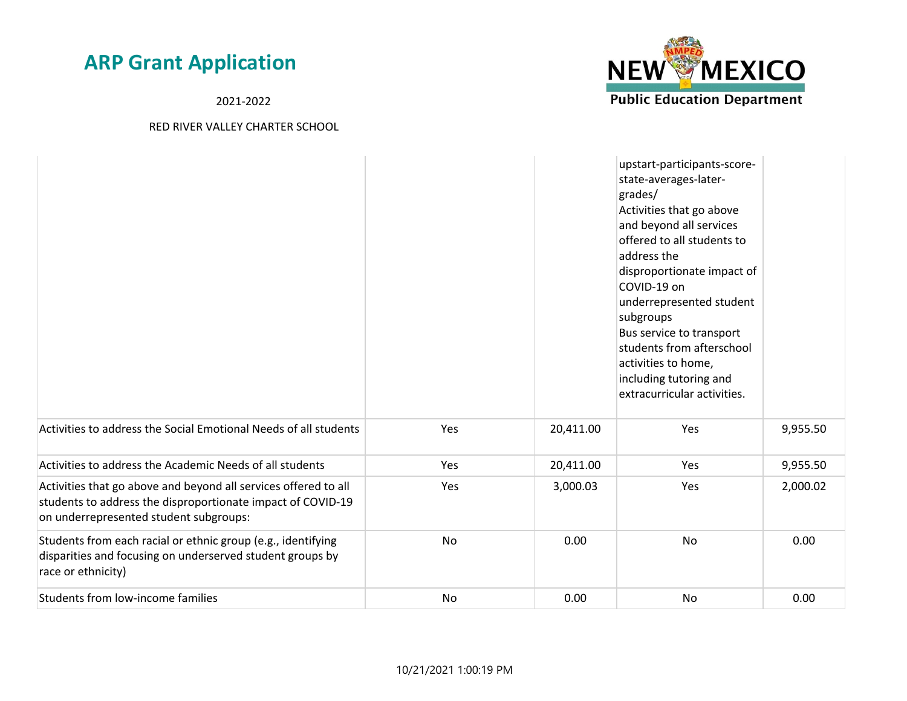2021-2022



|                                                                                                                                                                          |           |           | upstart-participants-score-<br>state-averages-later-<br>grades/<br>Activities that go above<br>and beyond all services<br>offered to all students to<br>address the<br>disproportionate impact of<br>COVID-19 on<br>underrepresented student<br>subgroups<br>Bus service to transport<br>students from afterschool<br>activities to home,<br>including tutoring and<br>extracurricular activities. |          |
|--------------------------------------------------------------------------------------------------------------------------------------------------------------------------|-----------|-----------|----------------------------------------------------------------------------------------------------------------------------------------------------------------------------------------------------------------------------------------------------------------------------------------------------------------------------------------------------------------------------------------------------|----------|
| Activities to address the Social Emotional Needs of all students                                                                                                         | Yes       | 20,411.00 | Yes                                                                                                                                                                                                                                                                                                                                                                                                | 9,955.50 |
| Activities to address the Academic Needs of all students                                                                                                                 | Yes       | 20,411.00 | Yes                                                                                                                                                                                                                                                                                                                                                                                                | 9,955.50 |
| Activities that go above and beyond all services offered to all<br>students to address the disproportionate impact of COVID-19<br>on underrepresented student subgroups: | Yes       | 3,000.03  | Yes                                                                                                                                                                                                                                                                                                                                                                                                | 2,000.02 |
| Students from each racial or ethnic group (e.g., identifying<br>disparities and focusing on underserved student groups by<br>race or ethnicity)                          | <b>No</b> | 0.00      | No                                                                                                                                                                                                                                                                                                                                                                                                 | 0.00     |
| Students from low-income families                                                                                                                                        | <b>No</b> | 0.00      | No                                                                                                                                                                                                                                                                                                                                                                                                 | 0.00     |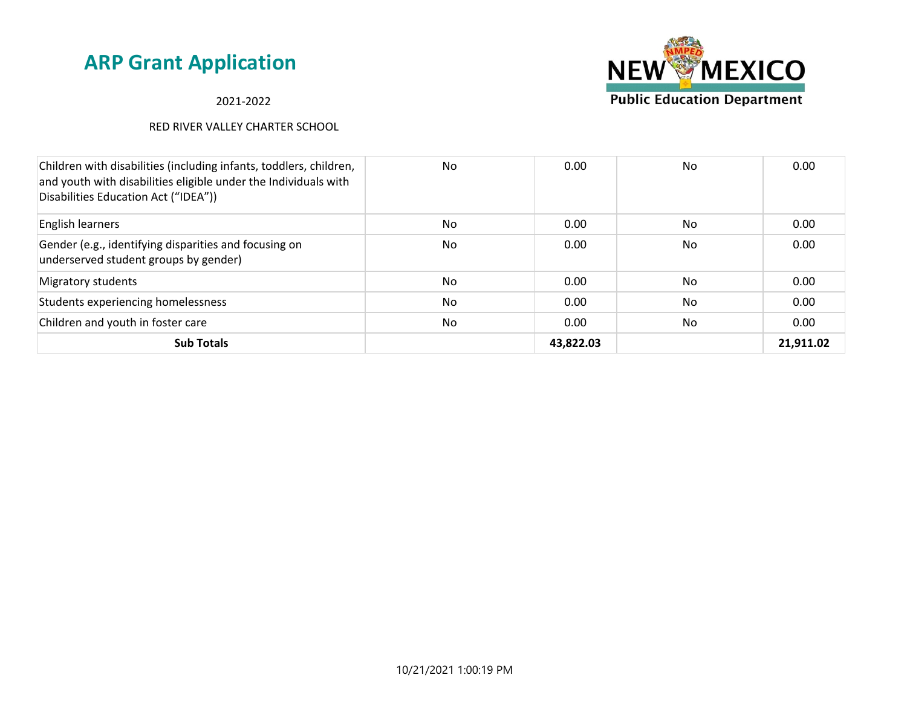## 2021-2022

| Children with disabilities (including infants, toddlers, children,<br>and youth with disabilities eligible under the Individuals with<br>Disabilities Education Act ("IDEA")) | No | 0.00      | No | 0.00      |
|-------------------------------------------------------------------------------------------------------------------------------------------------------------------------------|----|-----------|----|-----------|
| English learners                                                                                                                                                              | No | 0.00      | No | 0.00      |
| Gender (e.g., identifying disparities and focusing on<br>underserved student groups by gender)                                                                                | No | 0.00      | No | 0.00      |
| Migratory students                                                                                                                                                            | No | 0.00      | No | 0.00      |
| Students experiencing homelessness                                                                                                                                            | No | 0.00      | No | 0.00      |
| Children and youth in foster care                                                                                                                                             | No | 0.00      | No | 0.00      |
| <b>Sub Totals</b>                                                                                                                                                             |    | 43,822.03 |    | 21,911.02 |

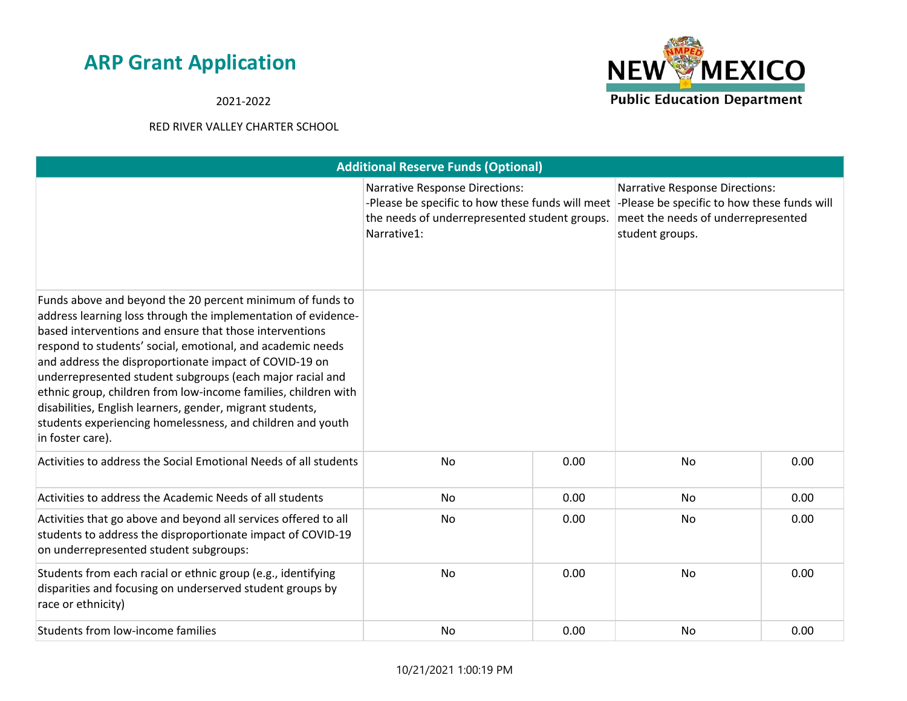**NEW MEXICO Public Education Department** 

## 2021-2022

|                                                                                                                                                                                                                                                                                                                                                                                                                                                                                                                                                                                             | <b>Additional Reserve Funds (Optional)</b>                                                                                                                |      |                                                                                                                                               |      |  |  |
|---------------------------------------------------------------------------------------------------------------------------------------------------------------------------------------------------------------------------------------------------------------------------------------------------------------------------------------------------------------------------------------------------------------------------------------------------------------------------------------------------------------------------------------------------------------------------------------------|-----------------------------------------------------------------------------------------------------------------------------------------------------------|------|-----------------------------------------------------------------------------------------------------------------------------------------------|------|--|--|
|                                                                                                                                                                                                                                                                                                                                                                                                                                                                                                                                                                                             | <b>Narrative Response Directions:</b><br>-Please be specific to how these funds will meet<br>the needs of underrepresented student groups.<br>Narrative1: |      | <b>Narrative Response Directions:</b><br>-Please be specific to how these funds will<br>meet the needs of underrepresented<br>student groups. |      |  |  |
| Funds above and beyond the 20 percent minimum of funds to<br>address learning loss through the implementation of evidence-<br>based interventions and ensure that those interventions<br>respond to students' social, emotional, and academic needs<br>and address the disproportionate impact of COVID-19 on<br>underrepresented student subgroups (each major racial and<br>ethnic group, children from low-income families, children with<br>disabilities, English learners, gender, migrant students,<br>students experiencing homelessness, and children and youth<br>in foster care). |                                                                                                                                                           |      |                                                                                                                                               |      |  |  |
| Activities to address the Social Emotional Needs of all students                                                                                                                                                                                                                                                                                                                                                                                                                                                                                                                            | No                                                                                                                                                        | 0.00 | <b>No</b>                                                                                                                                     | 0.00 |  |  |
| Activities to address the Academic Needs of all students                                                                                                                                                                                                                                                                                                                                                                                                                                                                                                                                    | No                                                                                                                                                        | 0.00 | No                                                                                                                                            | 0.00 |  |  |
| Activities that go above and beyond all services offered to all<br>students to address the disproportionate impact of COVID-19<br>on underrepresented student subgroups:                                                                                                                                                                                                                                                                                                                                                                                                                    | No                                                                                                                                                        | 0.00 | No                                                                                                                                            | 0.00 |  |  |
| Students from each racial or ethnic group (e.g., identifying<br>disparities and focusing on underserved student groups by<br>race or ethnicity)                                                                                                                                                                                                                                                                                                                                                                                                                                             | No                                                                                                                                                        | 0.00 | <b>No</b>                                                                                                                                     | 0.00 |  |  |
| Students from low-income families                                                                                                                                                                                                                                                                                                                                                                                                                                                                                                                                                           | No                                                                                                                                                        | 0.00 | No                                                                                                                                            | 0.00 |  |  |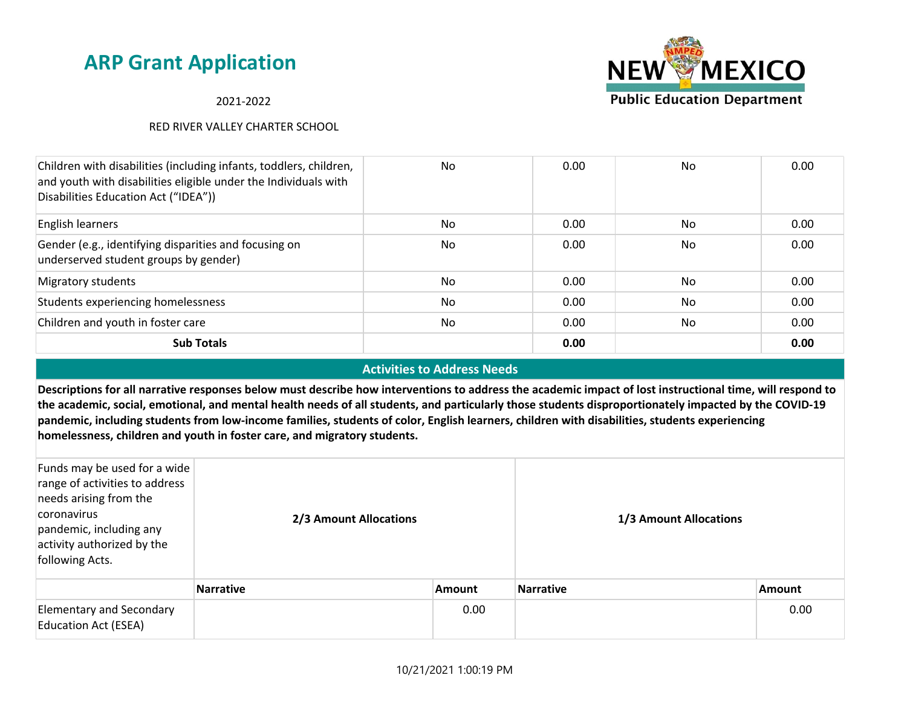2021-2022

### RED RIVER VALLEY CHARTER SCHOOL



### **Activities to Address Needs**

**Descriptions for all narrative responses below must describe how interventions to address the academic impact of lost instructional time, will respond to the academic, social, emotional, and mental health needs of all students, and particularly those students disproportionately impacted by the COVID-19 pandemic, including students from low-income families, students of color, English learners, children with disabilities, students experiencing homelessness, children and youth in foster care, and migratory students.**

| Funds may be used for a wide<br>range of activities to address<br>needs arising from the<br>coronavirus<br>pandemic, including any<br>activity authorized by the<br>following Acts. | 2/3 Amount Allocations |               | 1/3 Amount Allocations |               |
|-------------------------------------------------------------------------------------------------------------------------------------------------------------------------------------|------------------------|---------------|------------------------|---------------|
|                                                                                                                                                                                     | <b>Narrative</b>       | <b>Amount</b> | <b>Narrative</b>       | <b>Amount</b> |
| <b>Elementary and Secondary</b><br><b>Education Act (ESEA)</b>                                                                                                                      |                        | 0.00          |                        | 0.00          |

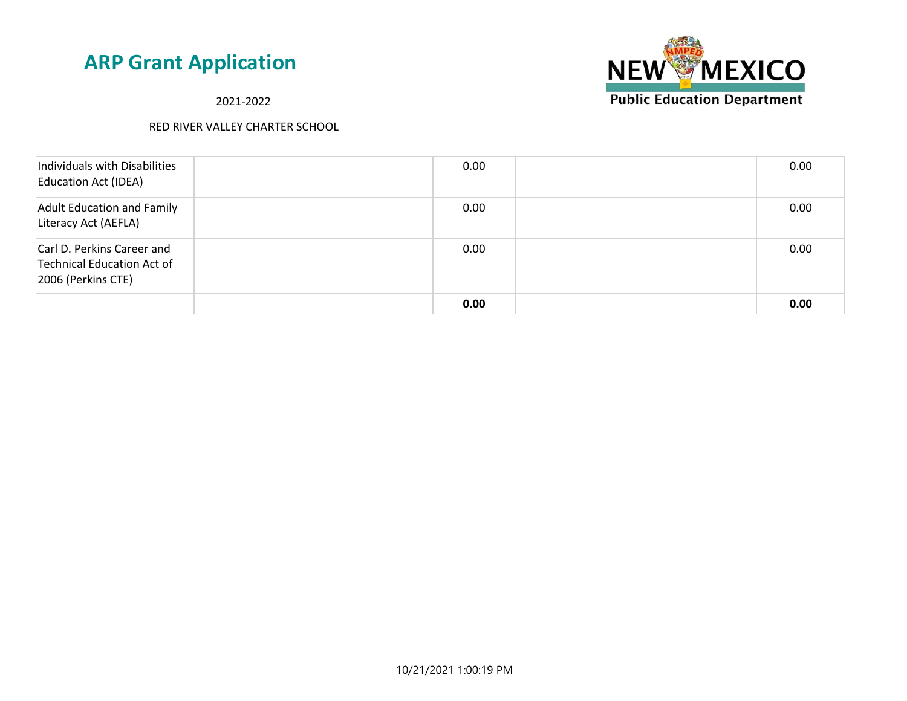**NEW MEXICO Public Education Department** 

2021-2022

| Individuals with Disabilities<br><b>Education Act (IDEA)</b>                   | 0.00 | 0.00 |
|--------------------------------------------------------------------------------|------|------|
| <b>Adult Education and Family</b><br>Literacy Act (AEFLA)                      | 0.00 | 0.00 |
| Carl D. Perkins Career and<br>Technical Education Act of<br>2006 (Perkins CTE) | 0.00 | 0.00 |
|                                                                                | 0.00 | 0.00 |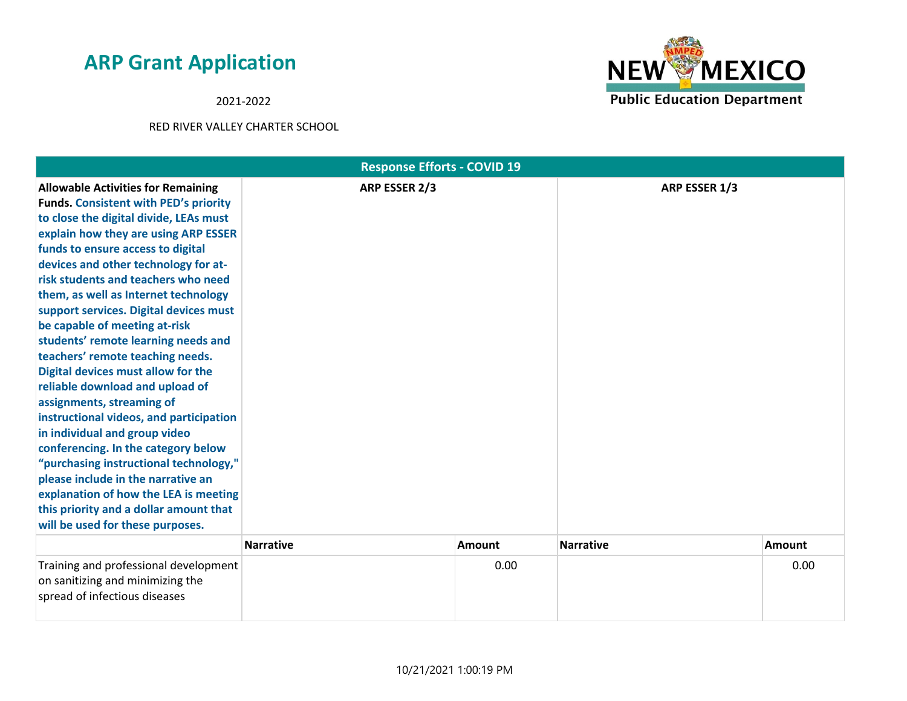2021-2022



| <b>Response Efforts - COVID 19</b>                                                                                                                                                                                                                                                                                                                                                                                                                                                                                                                                                                                                                                                                                                                                                                                                                                                                                            |                  |               |                  |        |
|-------------------------------------------------------------------------------------------------------------------------------------------------------------------------------------------------------------------------------------------------------------------------------------------------------------------------------------------------------------------------------------------------------------------------------------------------------------------------------------------------------------------------------------------------------------------------------------------------------------------------------------------------------------------------------------------------------------------------------------------------------------------------------------------------------------------------------------------------------------------------------------------------------------------------------|------------------|---------------|------------------|--------|
| <b>Allowable Activities for Remaining</b><br><b>Funds. Consistent with PED's priority</b><br>to close the digital divide, LEAs must<br>explain how they are using ARP ESSER<br>funds to ensure access to digital<br>devices and other technology for at-<br>risk students and teachers who need<br>them, as well as Internet technology<br>support services. Digital devices must<br>be capable of meeting at-risk<br>students' remote learning needs and<br>teachers' remote teaching needs.<br>Digital devices must allow for the<br>reliable download and upload of<br>assignments, streaming of<br>instructional videos, and participation<br>in individual and group video<br>conferencing. In the category below<br>"purchasing instructional technology,"<br>please include in the narrative an<br>explanation of how the LEA is meeting<br>this priority and a dollar amount that<br>will be used for these purposes. | ARP ESSER 2/3    |               | ARP ESSER 1/3    |        |
|                                                                                                                                                                                                                                                                                                                                                                                                                                                                                                                                                                                                                                                                                                                                                                                                                                                                                                                               | <b>Narrative</b> | <b>Amount</b> | <b>Narrative</b> | Amount |
| Training and professional development<br>on sanitizing and minimizing the<br>spread of infectious diseases                                                                                                                                                                                                                                                                                                                                                                                                                                                                                                                                                                                                                                                                                                                                                                                                                    |                  | 0.00          |                  | 0.00   |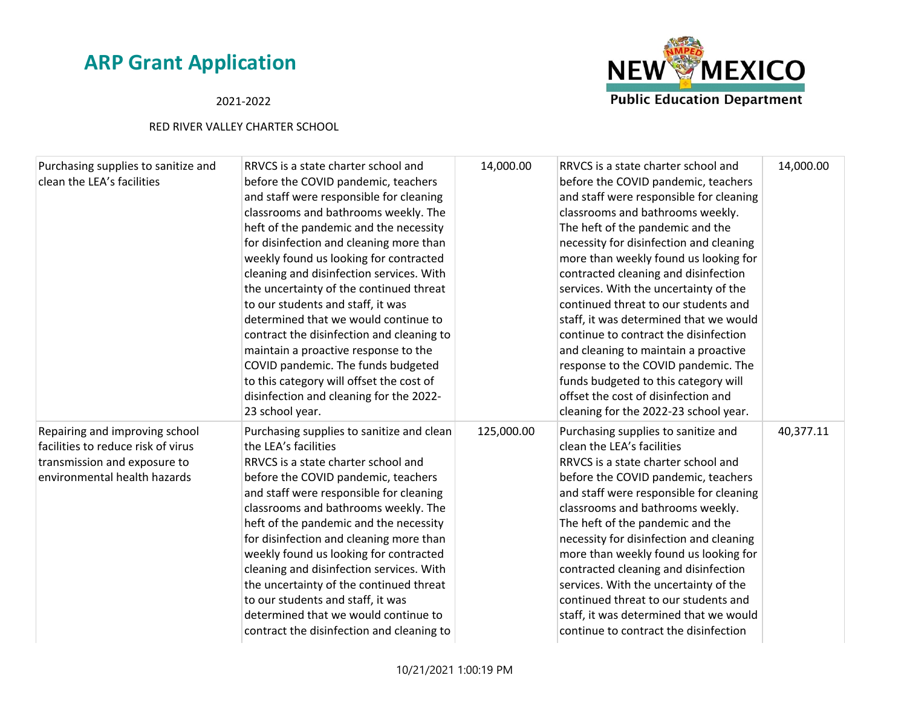## 2021-2022



| Purchasing supplies to sanitize and<br>clean the LEA's facilities                                                                    | RRVCS is a state charter school and<br>before the COVID pandemic, teachers<br>and staff were responsible for cleaning<br>classrooms and bathrooms weekly. The<br>heft of the pandemic and the necessity<br>for disinfection and cleaning more than<br>weekly found us looking for contracted<br>cleaning and disinfection services. With<br>the uncertainty of the continued threat<br>to our students and staff, it was<br>determined that we would continue to<br>contract the disinfection and cleaning to<br>maintain a proactive response to the<br>COVID pandemic. The funds budgeted<br>to this category will offset the cost of<br>disinfection and cleaning for the 2022-<br>23 school year. | 14,000.00  | RRVCS is a state charter school and<br>before the COVID pandemic, teachers<br>and staff were responsible for cleaning<br>classrooms and bathrooms weekly.<br>The heft of the pandemic and the<br>necessity for disinfection and cleaning<br>more than weekly found us looking for<br>contracted cleaning and disinfection<br>services. With the uncertainty of the<br>continued threat to our students and<br>staff, it was determined that we would<br>continue to contract the disinfection<br>and cleaning to maintain a proactive<br>response to the COVID pandemic. The<br>funds budgeted to this category will<br>offset the cost of disinfection and<br>cleaning for the 2022-23 school year. | 14,000.00 |
|--------------------------------------------------------------------------------------------------------------------------------------|-------------------------------------------------------------------------------------------------------------------------------------------------------------------------------------------------------------------------------------------------------------------------------------------------------------------------------------------------------------------------------------------------------------------------------------------------------------------------------------------------------------------------------------------------------------------------------------------------------------------------------------------------------------------------------------------------------|------------|------------------------------------------------------------------------------------------------------------------------------------------------------------------------------------------------------------------------------------------------------------------------------------------------------------------------------------------------------------------------------------------------------------------------------------------------------------------------------------------------------------------------------------------------------------------------------------------------------------------------------------------------------------------------------------------------------|-----------|
| Repairing and improving school<br>facilities to reduce risk of virus<br>transmission and exposure to<br>environmental health hazards | Purchasing supplies to sanitize and clean<br>the LEA's facilities<br>RRVCS is a state charter school and<br>before the COVID pandemic, teachers<br>and staff were responsible for cleaning<br>classrooms and bathrooms weekly. The<br>heft of the pandemic and the necessity<br>for disinfection and cleaning more than<br>weekly found us looking for contracted<br>cleaning and disinfection services. With<br>the uncertainty of the continued threat<br>to our students and staff, it was<br>determined that we would continue to<br>contract the disinfection and cleaning to                                                                                                                    | 125,000.00 | Purchasing supplies to sanitize and<br>clean the LEA's facilities<br>RRVCS is a state charter school and<br>before the COVID pandemic, teachers<br>and staff were responsible for cleaning<br>classrooms and bathrooms weekly.<br>The heft of the pandemic and the<br>necessity for disinfection and cleaning<br>more than weekly found us looking for<br>contracted cleaning and disinfection<br>services. With the uncertainty of the<br>continued threat to our students and<br>staff, it was determined that we would<br>continue to contract the disinfection                                                                                                                                   | 40,377.11 |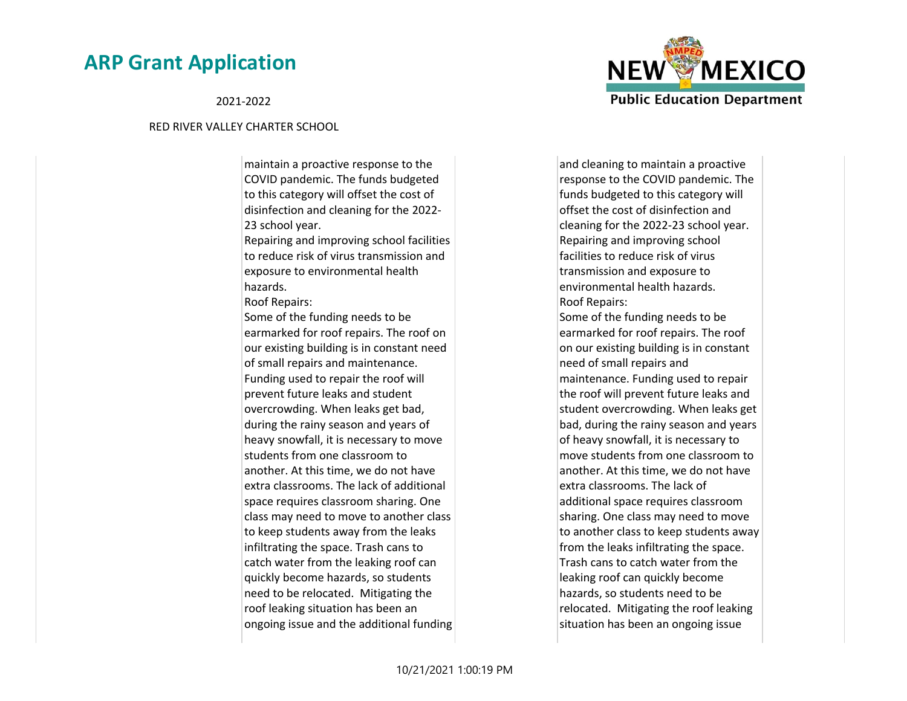

#### 2021-2022

#### RED RIVER VALLEY CHARTER SCHOOL

maintain a proactive response to the COVID pandemic. The funds budgeted to this category will offset the cost of disinfection and cleaning for the 2022- 23 school year.

Repairing and improving school facilities to reduce risk of virus transmission and exposure to environmental health hazards.

Roof Repairs:

Some of the funding needs to be earmarked for roof repairs. The roof on our existing building is in constant need of small repairs and maintenance. Funding used to repair the roof will prevent future leaks and student overcrowding. When leaks get bad, during the rainy season and years of heavy snowfall, it is necessary to move students from one classroom to another. At this time, we do not have extra classrooms. The lack of additional space requires classroom sharing. One class may need to move to another class to keep students away from the leaks infiltrating the space. Trash cans to catch water from the leaking roof can quickly become hazards, so students need to be relocated. Mitigating the roof leaking situation has been an ongoing issue and the additional funding

and cleaning to maintain a proactive response to the COVID pandemic. The funds budgeted to this category will offset the cost of disinfection and cleaning for the 2022-23 school year. Repairing and improving school facilities to reduce risk of virus transmission and exposure to environmental health hazards. Roof Repairs: Some of the funding needs to be earmarked for roof repairs. The roof on our existing building is in constant need of small repairs and maintenance. Funding used to repair the roof will prevent future leaks and student overcrowding. When leaks get bad, during the rainy season and years of heavy snowfall, it is necessary to move students from one classroom to another. At this time, we do not have extra classrooms. The lack of additional space requires classroom sharing. One class may need to move to another class to keep students away from the leaks infiltrating the space. Trash cans to catch water from the leaking roof can quickly become hazards, so students need to be relocated. Mitigating the roof leaking situation has been an ongoing issue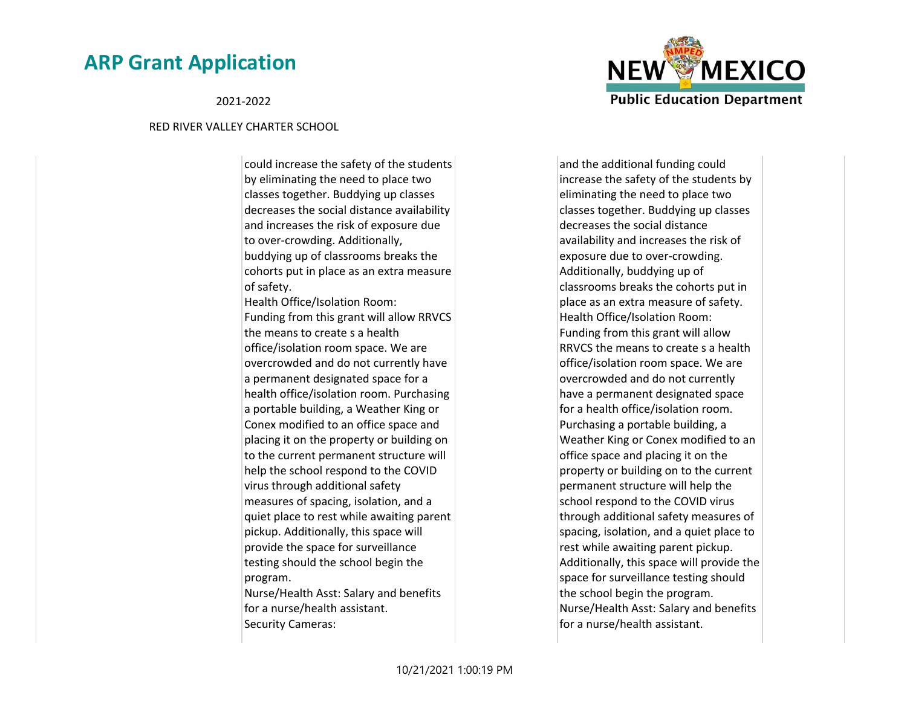2021-2022

#### RED RIVER VALLEY CHARTER SCHOOL

could increase the safety of the students by eliminating the need to place two classes together. Buddying up classes decreases the social distance availability and increases the risk of exposure due to over-crowding. Additionally, buddying up of classrooms breaks the cohorts put in place as an extra measure of safety. Health Office/Isolation Room: Funding from this grant will allow RRVCS the means to create s a health office/isolation room space. We are overcrowded and do not currently have a permanent designated space for a health office/isolation room. Purchasing a portable building, a Weather King or Conex modified to an office space and

placing it on the property or building on to the current permanent structure will help the school respond to the COVID virus through additional safety measures of spacing, isolation, and a quiet place to rest while awaiting parent pickup. Additionally, this space will provide the space for surveillance testing should the school begin the program.

Nurse/Health Asst: Salary and benefits for a nurse/health assistant. Security Cameras:

and the additional funding could increase the safety of the students by eliminating the need to place two classes together. Buddying up classes decreases the social distance availability and increases the risk of exposure due to over-crowding. Additionally, buddying up of classrooms breaks the cohorts put in place as an extra measure of safety. Health Office/Isolation Room: Funding from this grant will allow RRVCS the means to create s a health office/isolation room space. We are overcrowded and do not currently have a permanent designated space for a health office/isolation room. Purchasing a portable building, a Weather King or Conex modified to an office space and placing it on the property or building on to the current permanent structure will help the school respond to the COVID virus through additional safety measures of spacing, isolation, and a quiet place to rest while awaiting parent pickup. Additionally, this space will provide the space for surveillance testing should the school begin the program. Nurse/Health Asst: Salary and benefits for a nurse/health assistant.

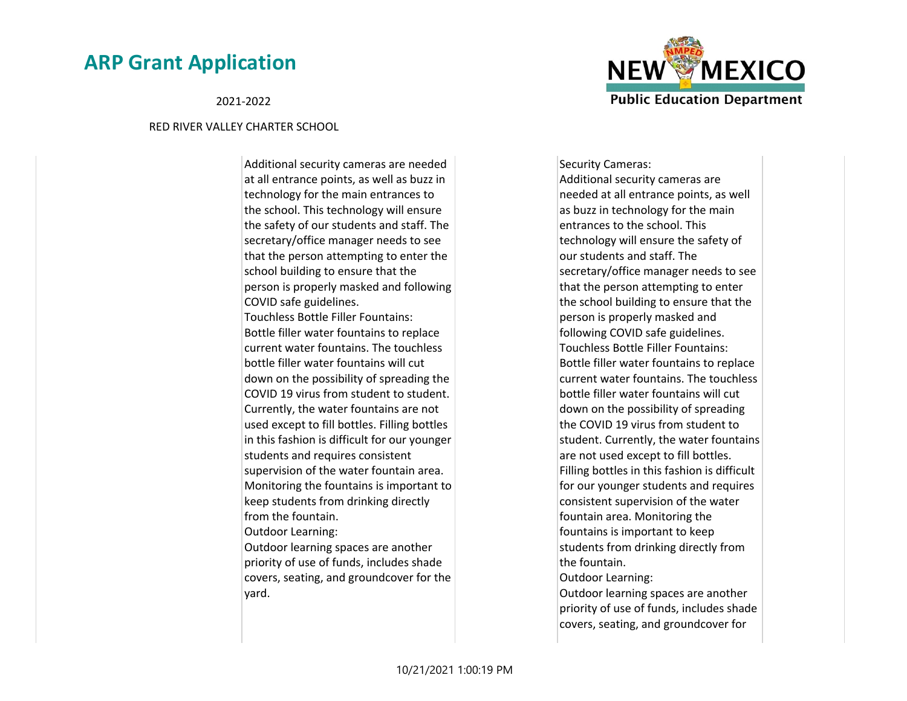#### 2021-2022

#### RED RIVER VALLEY CHARTER SCHOOL

Additional security cameras are needed at all entrance points, as well as buzz in technology for the main entrances to the school. This technology will ensure the safety of our students and staff. The secretary/office manager needs to see that the person attempting to enter the school building to ensure that the person is properly masked and following COVID safe guidelines. Touchless Bottle Filler Fountains: Bottle filler water fountains to replace current water fountains. The touchless bottle filler water fountains will cut down on the possibility of spreading the COVID 19 virus from student to student. Currently, the water fountains are not used except to fill bottles. Filling bottles in this fashion is difficult for our younger students and requires consistent supervision of the water fountain area. Monitoring the fountains is important to keep students from drinking directly from the fountain. Outdoor Learning: Outdoor learning spaces are another

priority of use of funds, includes shade covers, seating, and groundcover for the yard.

Security Cameras: Additional security cameras are needed at all entrance points, as well as buzz in technology for the main entrances to the school. This technology will ensure the safety of our students and staff. The secretary/office manager needs to see that the person attempting to enter the school building to ensure that the person is properly masked and following COVID safe guidelines. Touchless Bottle Filler Fountains: Bottle filler water fountains to replace current water fountains. The touchless bottle filler water fountains will cut down on the possibility of spreading the COVID 19 virus from student to student. Currently, the water fountains are not used except to fill bottles. Filling bottles in this fashion is difficult for our younger students and requires consistent supervision of the water fountain area. Monitoring the fountains is important to keep students from drinking directly from the fountain. Outdoor Learning: Outdoor learning spaces are another

priority of use of funds, includes shade covers, seating, and groundcover for

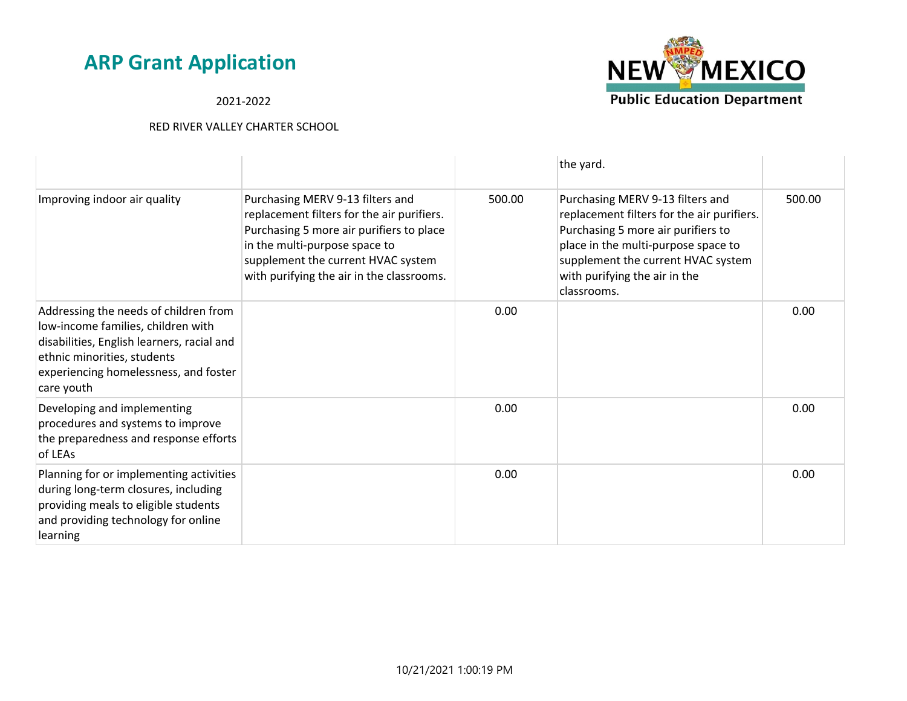2021-2022



|                                                                                                                                                                                                                 |                                                                                                                                                                                                                                                |        | the yard.                                                                                                                                                                                                                                         |        |
|-----------------------------------------------------------------------------------------------------------------------------------------------------------------------------------------------------------------|------------------------------------------------------------------------------------------------------------------------------------------------------------------------------------------------------------------------------------------------|--------|---------------------------------------------------------------------------------------------------------------------------------------------------------------------------------------------------------------------------------------------------|--------|
| Improving indoor air quality                                                                                                                                                                                    | Purchasing MERV 9-13 filters and<br>replacement filters for the air purifiers.<br>Purchasing 5 more air purifiers to place<br>in the multi-purpose space to<br>supplement the current HVAC system<br>with purifying the air in the classrooms. | 500.00 | Purchasing MERV 9-13 filters and<br>replacement filters for the air purifiers.<br>Purchasing 5 more air purifiers to<br>place in the multi-purpose space to<br>supplement the current HVAC system<br>with purifying the air in the<br>classrooms. | 500.00 |
| Addressing the needs of children from<br>low-income families, children with<br>disabilities, English learners, racial and<br>ethnic minorities, students<br>experiencing homelessness, and foster<br>care youth |                                                                                                                                                                                                                                                | 0.00   |                                                                                                                                                                                                                                                   | 0.00   |
| Developing and implementing<br>procedures and systems to improve<br>the preparedness and response efforts<br>of LEAs                                                                                            |                                                                                                                                                                                                                                                | 0.00   |                                                                                                                                                                                                                                                   | 0.00   |
| Planning for or implementing activities<br>during long-term closures, including<br>providing meals to eligible students<br>and providing technology for online<br>learning                                      |                                                                                                                                                                                                                                                | 0.00   |                                                                                                                                                                                                                                                   | 0.00   |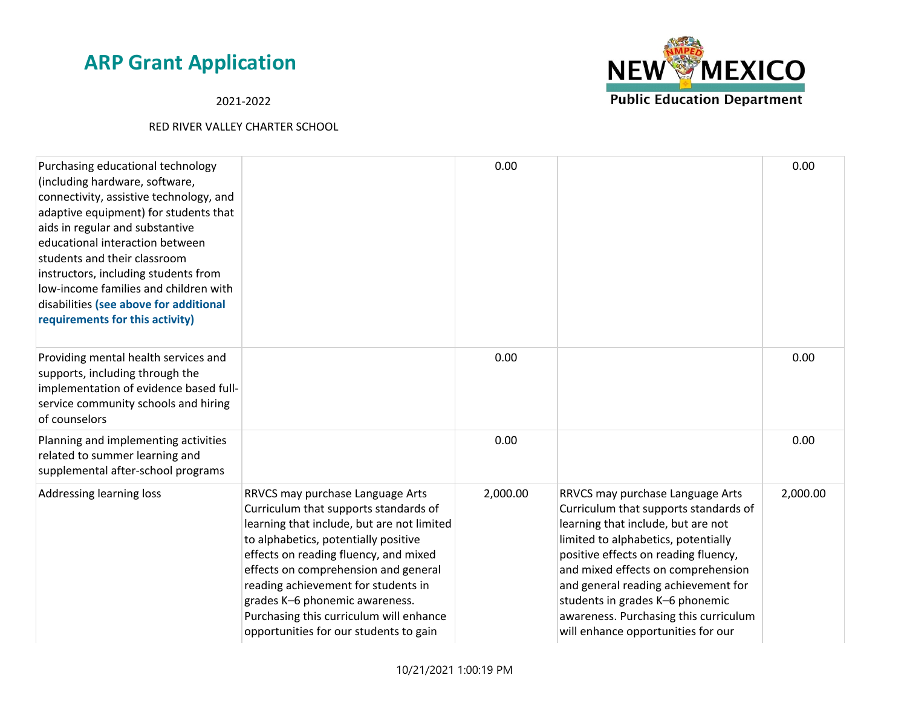2021-2022



| Purchasing educational technology<br>(including hardware, software,<br>connectivity, assistive technology, and<br>adaptive equipment) for students that<br>aids in regular and substantive<br>educational interaction between<br>students and their classroom<br>instructors, including students from<br>low-income families and children with<br>disabilities (see above for additional<br>requirements for this activity) |                                                                                                                                                                                                                                                                                                                                                                                                                | 0.00     |                                                                                                                                                                                                                                                                                                                                                                                               | 0.00     |
|-----------------------------------------------------------------------------------------------------------------------------------------------------------------------------------------------------------------------------------------------------------------------------------------------------------------------------------------------------------------------------------------------------------------------------|----------------------------------------------------------------------------------------------------------------------------------------------------------------------------------------------------------------------------------------------------------------------------------------------------------------------------------------------------------------------------------------------------------------|----------|-----------------------------------------------------------------------------------------------------------------------------------------------------------------------------------------------------------------------------------------------------------------------------------------------------------------------------------------------------------------------------------------------|----------|
| Providing mental health services and<br>supports, including through the<br>implementation of evidence based full-<br>service community schools and hiring<br>of counselors                                                                                                                                                                                                                                                  |                                                                                                                                                                                                                                                                                                                                                                                                                | 0.00     |                                                                                                                                                                                                                                                                                                                                                                                               | 0.00     |
| Planning and implementing activities<br>related to summer learning and<br>supplemental after-school programs                                                                                                                                                                                                                                                                                                                |                                                                                                                                                                                                                                                                                                                                                                                                                | 0.00     |                                                                                                                                                                                                                                                                                                                                                                                               | 0.00     |
| Addressing learning loss                                                                                                                                                                                                                                                                                                                                                                                                    | RRVCS may purchase Language Arts<br>Curriculum that supports standards of<br>learning that include, but are not limited<br>to alphabetics, potentially positive<br>effects on reading fluency, and mixed<br>effects on comprehension and general<br>reading achievement for students in<br>grades K-6 phonemic awareness.<br>Purchasing this curriculum will enhance<br>opportunities for our students to gain | 2,000.00 | RRVCS may purchase Language Arts<br>Curriculum that supports standards of<br>learning that include, but are not<br>limited to alphabetics, potentially<br>positive effects on reading fluency,<br>and mixed effects on comprehension<br>and general reading achievement for<br>students in grades K-6 phonemic<br>awareness. Purchasing this curriculum<br>will enhance opportunities for our | 2,000.00 |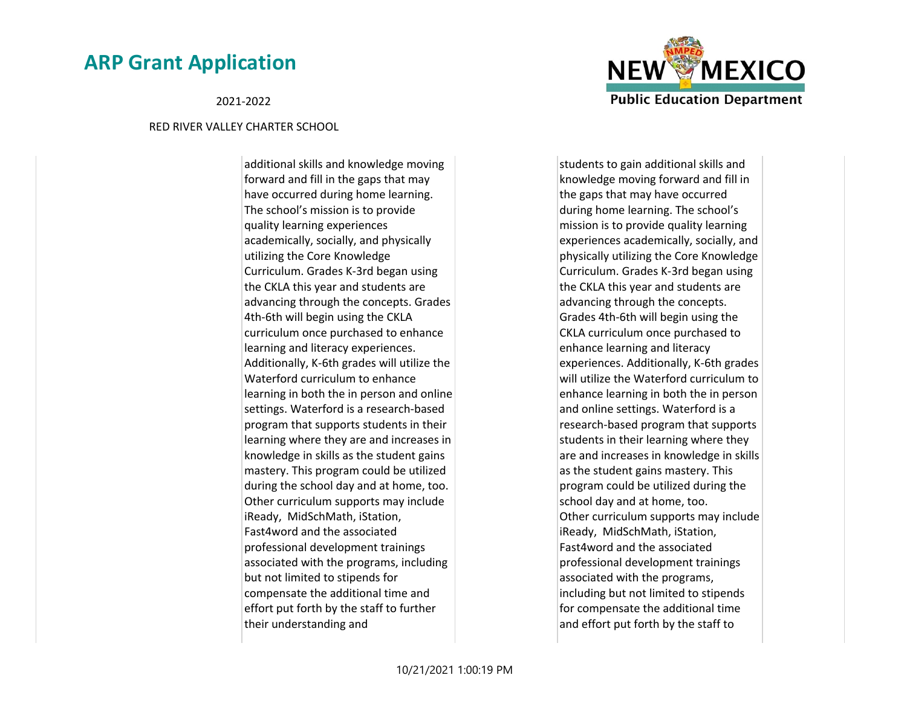2021-2022

#### RED RIVER VALLEY CHARTER SCHOOL

additional skills and knowledge moving forward and fill in the gaps that may have occurred during home learning. The school's mission is to provide quality learning experiences academically, socially, and physically utilizing the Core Knowledge Curriculum. Grades K-3rd began using the CKLA this year and students are advancing through the concepts. Grades 4th-6th will begin using the CKLA curriculum once purchased to enhance learning and literacy experiences. Additionally, K-6th grades will utilize the Waterford curriculum to enhance learning in both the in person and online settings. Waterford is a research-based program that supports students in their learning where they are and increases in knowledge in skills as the student gains mastery. This program could be utilized during the school day and at home, too. Other curriculum supports may include iReady, MidSchMath, iStation, Fast4word and the associated professional development trainings associated with the programs, including but not limited to stipends for compensate the additional time and effort put forth by the staff to further their understanding and



students to gain additional skills and knowledge moving forward and fill in the gaps that may have occurred during home learning. The school's mission is to provide quality learning experiences academically, socially, and physically utilizing the Core Knowledge Curriculum. Grades K-3rd began using the CKLA this year and students are advancing through the concepts. Grades 4th-6th will begin using the CKLA curriculum once purchased to enhance learning and literacy experiences. Additionally, K-6th grades will utilize the Waterford curriculum to enhance learning in both the in person and online settings. Waterford is a research-based program that supports students in their learning where they are and increases in knowledge in skills as the student gains mastery. This program could be utilized during the school day and at home, too. Other curriculum supports may include iReady, MidSchMath, iStation, Fast4word and the associated professional development trainings associated with the programs, including but not limited to stipends for compensate the additional time and effort put forth by the staff to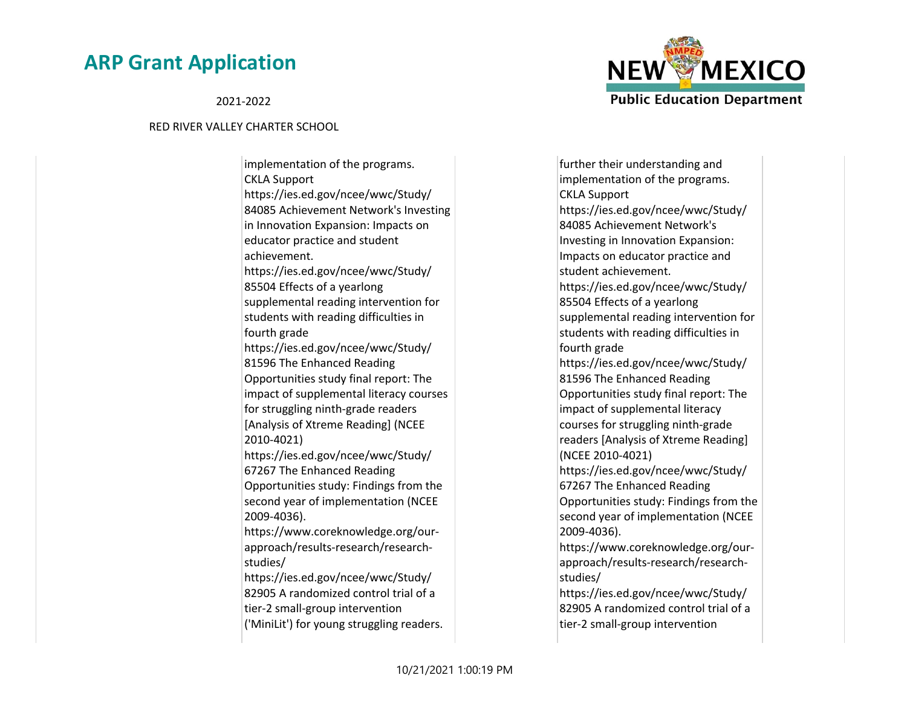2021-2022

#### RED RIVER VALLEY CHARTER SCHOOL

implementation of the programs. CKLA Support https://ies.ed.gov/ncee/wwc/Study/ 84085 Achievement Network's Investing in Innovation Expansion: Impacts on educator practice and student achievement. https://ies.ed.gov/ncee/wwc/Study/ 85504 Effects of a yearlong supplemental reading intervention for students with reading difficulties in fourth grade https://ies.ed.gov/ncee/wwc/Study/ 81596 The Enhanced Reading Opportunities study final report: The impact of supplemental literacy courses for struggling ninth-grade readers [Analysis of Xtreme Reading] (NCEE 2010-4021) https://ies.ed.gov/ncee/wwc/Study/ 67267 The Enhanced Reading Opportunities study: Findings from the second year of implementation (NCEE 2009-4036). https://www.coreknowledge.org/ourapproach/results-research/researchstudies/ https://ies.ed.gov/ncee/wwc/Study/ 82905 A randomized control trial of a tier-2 small-group intervention ('MiniLit') for young struggling readers.



further their understanding and implementation of the programs. CKLA Support https://ies.ed.gov/ncee/wwc/Study/ 84085 Achievement Network's Investing in Innovation Expansion: Impacts on educator practice and student achievement. https://ies.ed.gov/ncee/wwc/Study/ 85504 Effects of a yearlong supplemental reading intervention for students with reading difficulties in fourth grade https://ies.ed.gov/ncee/wwc/Study/ 81596 The Enhanced Reading Opportunities study final report: The impact of supplemental literacy courses for struggling ninth-grade readers [Analysis of Xtreme Reading] (NCEE 2010-4021) https://ies.ed.gov/ncee/wwc/Study/ 67267 The Enhanced Reading Opportunities study: Findings from the second year of implementation (NCEE 2009-4036). https://www.coreknowledge.org/ourapproach/results-research/researchstudies/ https://ies.ed.gov/ncee/wwc/Study/ 82905 A randomized control trial of a

tier-2 small-group intervention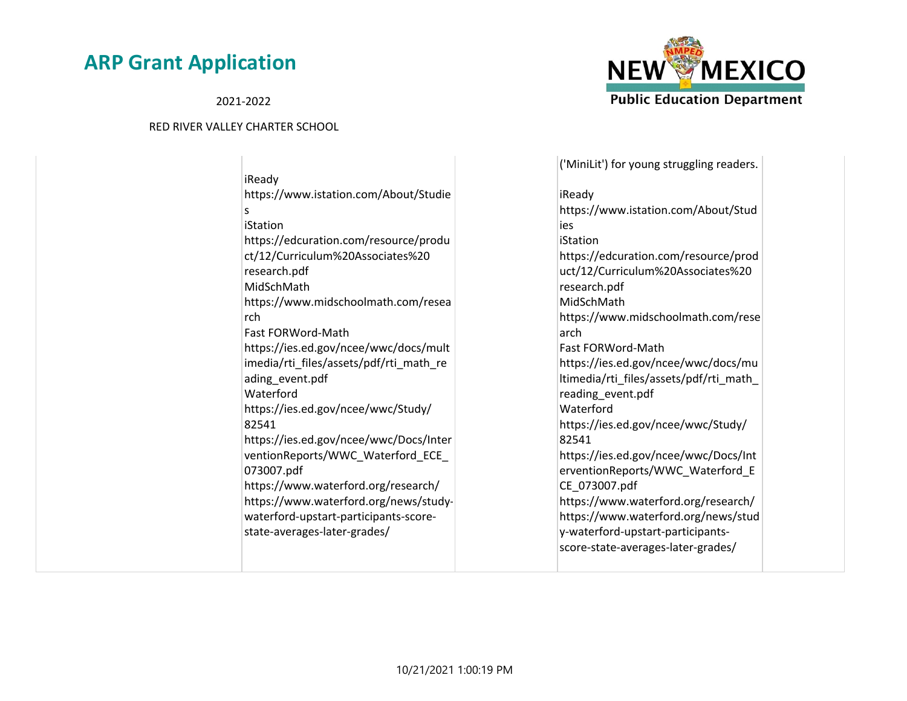2021-2022

#### RED RIVER VALLEY CHARTER SCHOOL

iReady https://www.istation.com/About/Studie s iStation https://edcuration.com/resource/produ ct/12/Curriculum%20Associates%20 research.pdf MidSchMath https://www.midschoolmath.com/resea rch Fast FORWord-Math https://ies.ed.gov/ncee/wwc/docs/mult imedia/rti\_files/assets/pdf/rti\_math\_re ading\_event.pdf Waterford https://ies.ed.gov/ncee/wwc/Study/ 82541 https://ies.ed.gov/ncee/wwc/Docs/Inter ventionReports/WWC\_Waterford\_ECE\_ 073007.pdf https://www.waterford.org/research/ https://www.waterford.org/news/studywaterford-upstart-participants-scorestate-averages-later-grades/



('MiniLit') for young struggling readers. iReady https://www.istation.com/About/Stud ies iStation https://edcuration.com/resource/prod uct/12/Curriculum%20Associates%20 research.pdf MidSchMath https://www.midschoolmath.com/rese arch Fast FORWord-Math https://ies.ed.gov/ncee/wwc/docs/mu ltimedia/rti\_files/assets/pdf/rti\_math\_ reading\_event.pdf **Waterford** https://ies.ed.gov/ncee/wwc/Study/ 82541 https://ies.ed.gov/ncee/wwc/Docs/Int erventionReports/WWC\_Waterford\_E CE\_073007.pdf https://www.waterford.org/research/ https://www.waterford.org/news/stud y-waterford-upstart-participantsscore-state-averages-later-grades/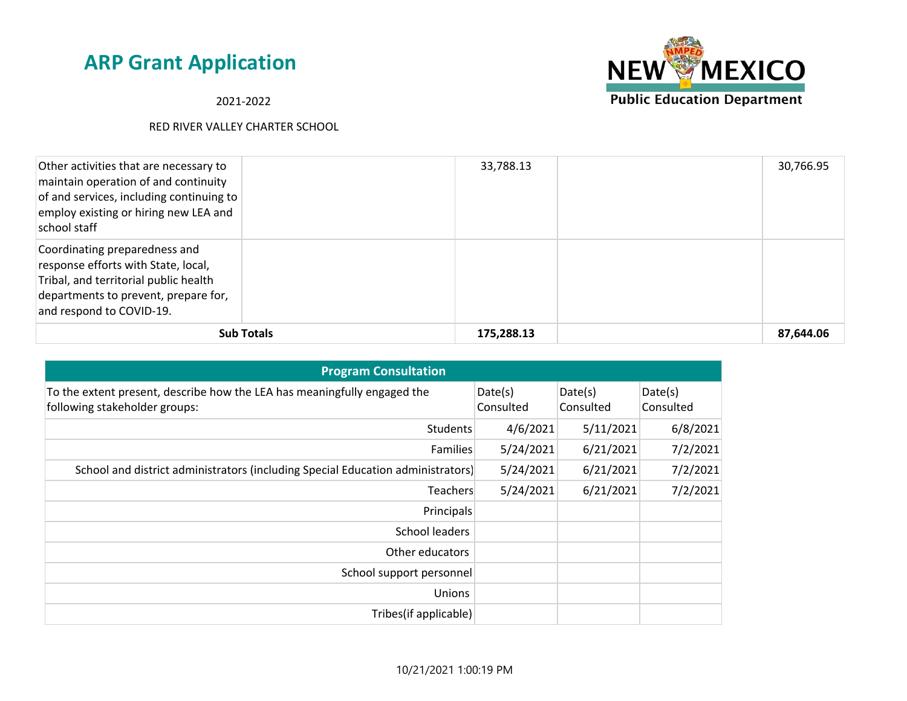## 2021-2022



| Other activities that are necessary to<br>maintain operation of and continuity<br>of and services, including continuing to<br>employ existing or hiring new LEA and<br>school staff |                   | 33,788.13  | 30,766.95 |
|-------------------------------------------------------------------------------------------------------------------------------------------------------------------------------------|-------------------|------------|-----------|
| Coordinating preparedness and<br>response efforts with State, local,<br>Tribal, and territorial public health<br>departments to prevent, prepare for,<br>and respond to COVID-19.   |                   |            |           |
|                                                                                                                                                                                     | <b>Sub Totals</b> | 175,288.13 | 87,644.06 |

| <b>Program Consultation</b>                                                                               |                      |                      |                      |
|-----------------------------------------------------------------------------------------------------------|----------------------|----------------------|----------------------|
| To the extent present, describe how the LEA has meaningfully engaged the<br>following stakeholder groups: | Date(s)<br>Consulted | Date(s)<br>Consulted | Date(s)<br>Consulted |
| <b>Students</b>                                                                                           | 4/6/2021             | 5/11/2021            | 6/8/2021             |
| Families                                                                                                  | 5/24/2021            | 6/21/2021            | 7/2/2021             |
| School and district administrators (including Special Education administrators)                           | 5/24/2021            | 6/21/2021            | 7/2/2021             |
| Teachers                                                                                                  | 5/24/2021            | 6/21/2021            | 7/2/2021             |
| Principals                                                                                                |                      |                      |                      |
| <b>School leaders</b>                                                                                     |                      |                      |                      |
| Other educators                                                                                           |                      |                      |                      |
| School support personnel                                                                                  |                      |                      |                      |
| Unions                                                                                                    |                      |                      |                      |
| Tribes(if applicable)                                                                                     |                      |                      |                      |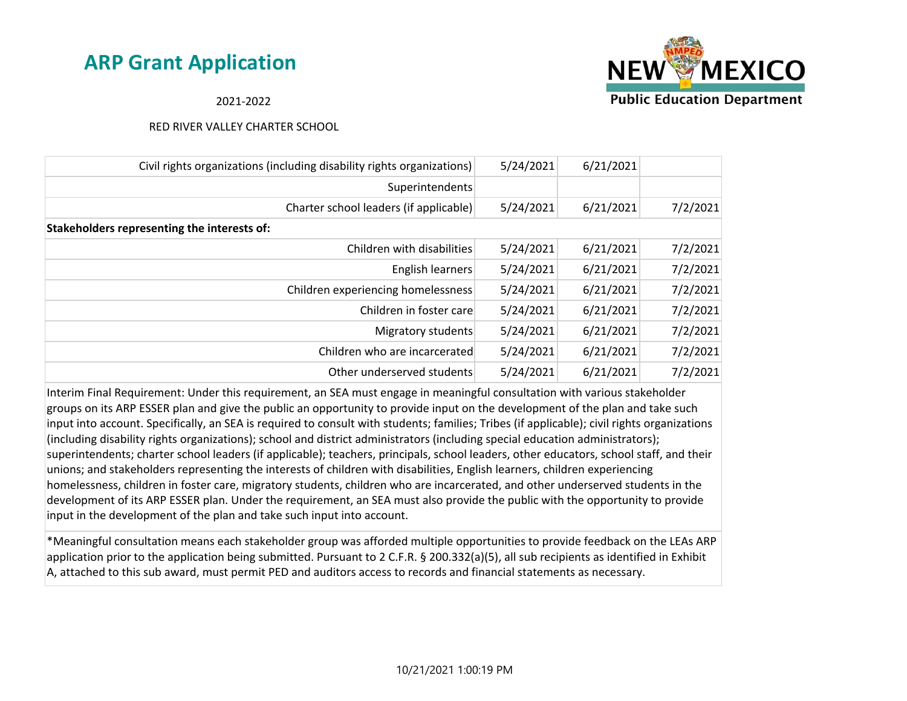

### 2021-2022

#### RED RIVER VALLEY CHARTER SCHOOL

| Civil rights organizations (including disability rights organizations) | 5/24/2021 | 6/21/2021 |          |
|------------------------------------------------------------------------|-----------|-----------|----------|
| Superintendents                                                        |           |           |          |
| Charter school leaders (if applicable)                                 | 5/24/2021 | 6/21/2021 | 7/2/2021 |
| Stakeholders representing the interests of:                            |           |           |          |
| Children with disabilities                                             | 5/24/2021 | 6/21/2021 | 7/2/2021 |
| English learners                                                       | 5/24/2021 | 6/21/2021 | 7/2/2021 |
| Children experiencing homelessness                                     | 5/24/2021 | 6/21/2021 | 7/2/2021 |
| Children in foster care                                                | 5/24/2021 | 6/21/2021 | 7/2/2021 |
| Migratory students                                                     | 5/24/2021 | 6/21/2021 | 7/2/2021 |
| Children who are incarcerated                                          | 5/24/2021 | 6/21/2021 | 7/2/2021 |
| Other underserved students                                             | 5/24/2021 | 6/21/2021 | 7/2/2021 |

Interim Final Requirement: Under this requirement, an SEA must engage in meaningful consultation with various stakeholder groups on its ARP ESSER plan and give the public an opportunity to provide input on the development of the plan and take such input into account. Specifically, an SEA is required to consult with students; families; Tribes (if applicable); civil rights organizations (including disability rights organizations); school and district administrators (including special education administrators); superintendents; charter school leaders (if applicable); teachers, principals, school leaders, other educators, school staff, and their unions; and stakeholders representing the interests of children with disabilities, English learners, children experiencing homelessness, children in foster care, migratory students, children who are incarcerated, and other underserved students in the development of its ARP ESSER plan. Under the requirement, an SEA must also provide the public with the opportunity to provide input in the development of the plan and take such input into account.

\*Meaningful consultation means each stakeholder group was afforded multiple opportunities to provide feedback on the LEAs ARP application prior to the application being submitted. Pursuant to 2 C.F.R. § 200.332(a)(5), all sub recipients as identified in Exhibit A, attached to this sub award, must permit PED and auditors access to records and financial statements as necessary.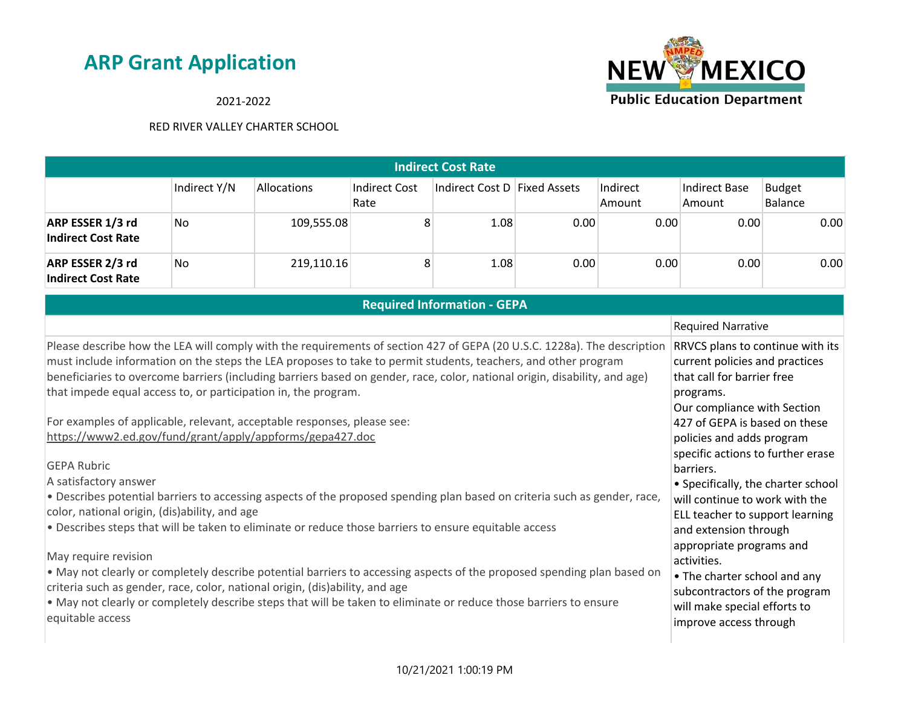

## 2021-2022

| <b>Indirect Cost Rate</b>                                                                                                                                                                                                                                                                                                                                                                                                                                                                                                                                                                                                                                                                                                                                                                                                                                                                                                                                                                                                                                                                                                                                                                                                                                                                           |              |             |                              |                                    |      |                    |                                                                                                                                                                                                                                                                                                                                                                                                                                                                                                                                                                        |                                 |
|-----------------------------------------------------------------------------------------------------------------------------------------------------------------------------------------------------------------------------------------------------------------------------------------------------------------------------------------------------------------------------------------------------------------------------------------------------------------------------------------------------------------------------------------------------------------------------------------------------------------------------------------------------------------------------------------------------------------------------------------------------------------------------------------------------------------------------------------------------------------------------------------------------------------------------------------------------------------------------------------------------------------------------------------------------------------------------------------------------------------------------------------------------------------------------------------------------------------------------------------------------------------------------------------------------|--------------|-------------|------------------------------|------------------------------------|------|--------------------|------------------------------------------------------------------------------------------------------------------------------------------------------------------------------------------------------------------------------------------------------------------------------------------------------------------------------------------------------------------------------------------------------------------------------------------------------------------------------------------------------------------------------------------------------------------------|---------------------------------|
|                                                                                                                                                                                                                                                                                                                                                                                                                                                                                                                                                                                                                                                                                                                                                                                                                                                                                                                                                                                                                                                                                                                                                                                                                                                                                                     | Indirect Y/N | Allocations | <b>Indirect Cost</b><br>Rate | Indirect Cost D Fixed Assets       |      | Indirect<br>Amount | <b>Indirect Base</b><br>Amount                                                                                                                                                                                                                                                                                                                                                                                                                                                                                                                                         | <b>Budget</b><br><b>Balance</b> |
| ARP ESSER 1/3 rd<br><b>Indirect Cost Rate</b>                                                                                                                                                                                                                                                                                                                                                                                                                                                                                                                                                                                                                                                                                                                                                                                                                                                                                                                                                                                                                                                                                                                                                                                                                                                       | <b>No</b>    | 109,555.08  | 8                            | 1.08                               | 0.00 | 0.00               | 0.00                                                                                                                                                                                                                                                                                                                                                                                                                                                                                                                                                                   | 0.00                            |
| ARP ESSER 2/3 rd<br><b>Indirect Cost Rate</b>                                                                                                                                                                                                                                                                                                                                                                                                                                                                                                                                                                                                                                                                                                                                                                                                                                                                                                                                                                                                                                                                                                                                                                                                                                                       | <b>No</b>    | 219,110.16  | 8                            | 1.08                               | 0.00 | 0.00               | 0.00                                                                                                                                                                                                                                                                                                                                                                                                                                                                                                                                                                   | 0.00                            |
|                                                                                                                                                                                                                                                                                                                                                                                                                                                                                                                                                                                                                                                                                                                                                                                                                                                                                                                                                                                                                                                                                                                                                                                                                                                                                                     |              |             |                              | <b>Required Information - GEPA</b> |      |                    |                                                                                                                                                                                                                                                                                                                                                                                                                                                                                                                                                                        |                                 |
|                                                                                                                                                                                                                                                                                                                                                                                                                                                                                                                                                                                                                                                                                                                                                                                                                                                                                                                                                                                                                                                                                                                                                                                                                                                                                                     |              |             |                              |                                    |      |                    | <b>Required Narrative</b>                                                                                                                                                                                                                                                                                                                                                                                                                                                                                                                                              |                                 |
| Please describe how the LEA will comply with the requirements of section 427 of GEPA (20 U.S.C. 1228a). The description<br>must include information on the steps the LEA proposes to take to permit students, teachers, and other program<br>beneficiaries to overcome barriers (including barriers based on gender, race, color, national origin, disability, and age)<br>that impede equal access to, or participation in, the program.<br>For examples of applicable, relevant, acceptable responses, please see:<br>https://www2.ed.gov/fund/grant/apply/appforms/gepa427.doc<br><b>GEPA Rubric</b><br>A satisfactory answer<br>. Describes potential barriers to accessing aspects of the proposed spending plan based on criteria such as gender, race,<br>color, national origin, (dis)ability, and age<br>. Describes steps that will be taken to eliminate or reduce those barriers to ensure equitable access<br>May require revision<br>. May not clearly or completely describe potential barriers to accessing aspects of the proposed spending plan based on<br>criteria such as gender, race, color, national origin, (dis)ability, and age<br>. May not clearly or completely describe steps that will be taken to eliminate or reduce those barriers to ensure<br>equitable access |              |             |                              |                                    |      |                    | RRVCS plans to continue with its<br>current policies and practices<br>that call for barrier free<br>programs.<br>Our compliance with Section<br>427 of GEPA is based on these<br>policies and adds program<br>specific actions to further erase<br>barriers.<br>• Specifically, the charter school<br>will continue to work with the<br>ELL teacher to support learning<br>and extension through<br>appropriate programs and<br>activities.<br>• The charter school and any<br>subcontractors of the program<br>will make special efforts to<br>improve access through |                                 |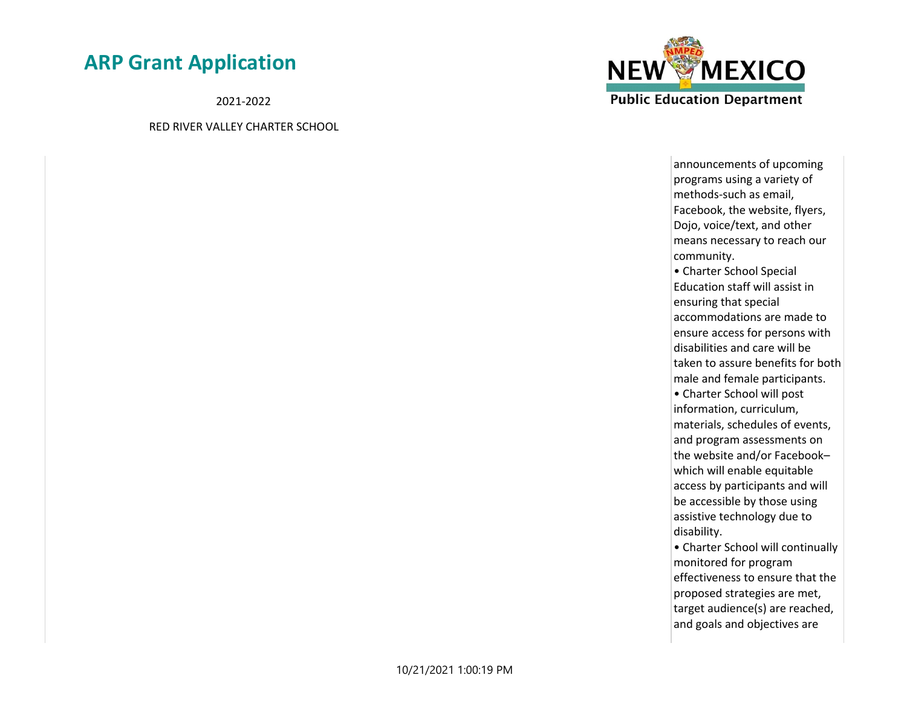2021-2022

RED RIVER VALLEY CHARTER SCHOOL



announcements of upcoming programs using a variety of methods-such as email, Facebook, the website, flyers, Dojo, voice/text, and other means necessary to reach our community. • Charter School Special Education staff will assist in ensuring that special accommodations are made to ensure access for persons with disabilities and care will be taken to assure benefits for both male and female participants. • Charter School will post information, curriculum, materials, schedules of events, and program assessments on the website and/or Facebook– which will enable equitable access by participants and will be accessible by those using assistive technology due to disability.

• Charter School will continually monitored for program effectiveness to ensure that the proposed strategies are met, target audience(s) are reached, and goals and objectives are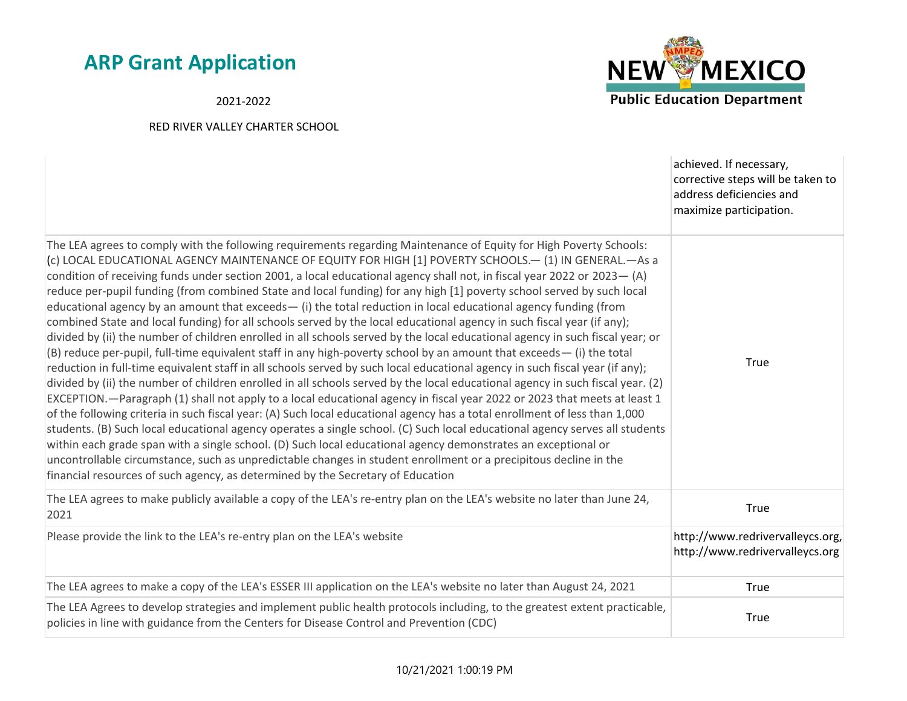2021-2022



|                                                                                                                                                                                                                                                                                                                                                                                                                                                                                                                                                                                                                                                                                                                                                                                                                                                                                                                                                                                                                                                                                                                                                                                                                                                                                                                                                                                                                                                                                                                                                                                                                                                                                                                                                                                                                                                                                                                                                                               | achieved. If necessary,<br>corrective steps will be taken to<br>address deficiencies and<br>maximize participation. |
|-------------------------------------------------------------------------------------------------------------------------------------------------------------------------------------------------------------------------------------------------------------------------------------------------------------------------------------------------------------------------------------------------------------------------------------------------------------------------------------------------------------------------------------------------------------------------------------------------------------------------------------------------------------------------------------------------------------------------------------------------------------------------------------------------------------------------------------------------------------------------------------------------------------------------------------------------------------------------------------------------------------------------------------------------------------------------------------------------------------------------------------------------------------------------------------------------------------------------------------------------------------------------------------------------------------------------------------------------------------------------------------------------------------------------------------------------------------------------------------------------------------------------------------------------------------------------------------------------------------------------------------------------------------------------------------------------------------------------------------------------------------------------------------------------------------------------------------------------------------------------------------------------------------------------------------------------------------------------------|---------------------------------------------------------------------------------------------------------------------|
| The LEA agrees to comply with the following requirements regarding Maintenance of Equity for High Poverty Schools:<br>(c) LOCAL EDUCATIONAL AGENCY MAINTENANCE OF EQUITY FOR HIGH [1] POVERTY SCHOOLS.— (1) IN GENERAL.—As a<br>condition of receiving funds under section 2001, a local educational agency shall not, in fiscal year 2022 or 2023 - (A)<br>reduce per-pupil funding (from combined State and local funding) for any high [1] poverty school served by such local<br>educational agency by an amount that exceeds $-$ (i) the total reduction in local educational agency funding (from<br>combined State and local funding) for all schools served by the local educational agency in such fiscal year (if any);<br>divided by (ii) the number of children enrolled in all schools served by the local educational agency in such fiscal year; or<br>(B) reduce per-pupil, full-time equivalent staff in any high-poverty school by an amount that exceeds- (i) the total<br>reduction in full-time equivalent staff in all schools served by such local educational agency in such fiscal year (if any);<br>divided by (ii) the number of children enrolled in all schools served by the local educational agency in such fiscal year. (2)<br>EXCEPTION.—Paragraph (1) shall not apply to a local educational agency in fiscal year 2022 or 2023 that meets at least 1<br>of the following criteria in such fiscal year: (A) Such local educational agency has a total enrollment of less than 1,000<br>students. (B) Such local educational agency operates a single school. (C) Such local educational agency serves all students<br>within each grade span with a single school. (D) Such local educational agency demonstrates an exceptional or<br>uncontrollable circumstance, such as unpredictable changes in student enrollment or a precipitous decline in the<br>financial resources of such agency, as determined by the Secretary of Education | True                                                                                                                |
| The LEA agrees to make publicly available a copy of the LEA's re-entry plan on the LEA's website no later than June 24,<br>2021                                                                                                                                                                                                                                                                                                                                                                                                                                                                                                                                                                                                                                                                                                                                                                                                                                                                                                                                                                                                                                                                                                                                                                                                                                                                                                                                                                                                                                                                                                                                                                                                                                                                                                                                                                                                                                               | True                                                                                                                |
| Please provide the link to the LEA's re-entry plan on the LEA's website                                                                                                                                                                                                                                                                                                                                                                                                                                                                                                                                                                                                                                                                                                                                                                                                                                                                                                                                                                                                                                                                                                                                                                                                                                                                                                                                                                                                                                                                                                                                                                                                                                                                                                                                                                                                                                                                                                       | http://www.redrivervalleycs.org,<br>http://www.redrivervalleycs.org                                                 |
| The LEA agrees to make a copy of the LEA's ESSER III application on the LEA's website no later than August 24, 2021                                                                                                                                                                                                                                                                                                                                                                                                                                                                                                                                                                                                                                                                                                                                                                                                                                                                                                                                                                                                                                                                                                                                                                                                                                                                                                                                                                                                                                                                                                                                                                                                                                                                                                                                                                                                                                                           | <b>True</b>                                                                                                         |
| The LEA Agrees to develop strategies and implement public health protocols including, to the greatest extent practicable,<br>policies in line with guidance from the Centers for Disease Control and Prevention (CDC)                                                                                                                                                                                                                                                                                                                                                                                                                                                                                                                                                                                                                                                                                                                                                                                                                                                                                                                                                                                                                                                                                                                                                                                                                                                                                                                                                                                                                                                                                                                                                                                                                                                                                                                                                         | True                                                                                                                |